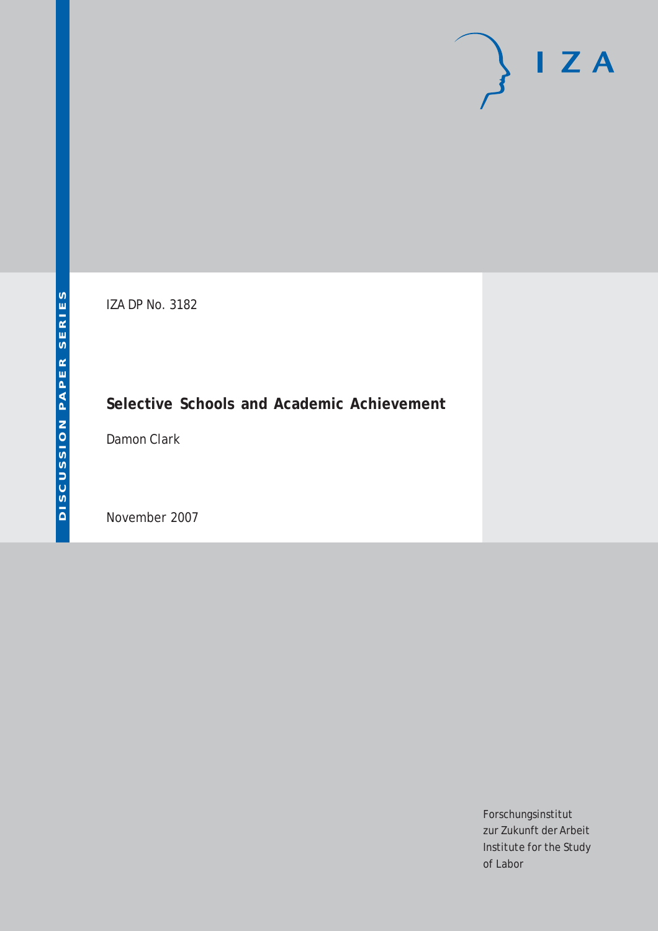# $\mathsf{I}$  Z A

IZA DP No. 3182

# **Selective Schools and Academic Achievement**

Damon Clark

November 2007

Forschungsinstitut zur Zukunft der Arbeit Institute for the Study of Labor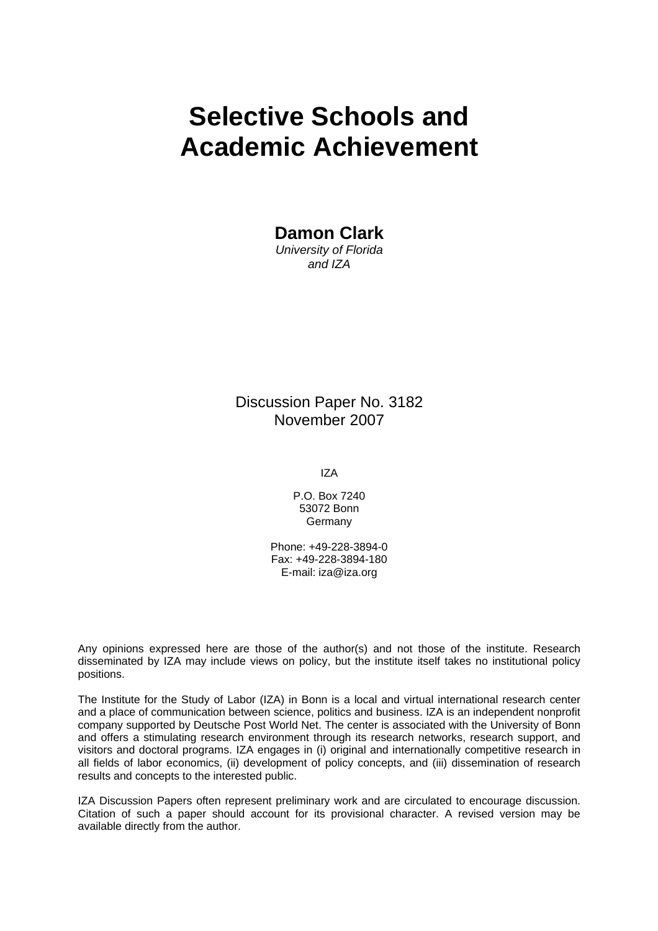# **Selective Schools and Academic Achievement**

**Damon Clark** 

*University of Florida and IZA* 

Discussion Paper No. 3182 November 2007

IZA

P.O. Box 7240 53072 Bonn Germany

Phone: +49-228-3894-0 Fax: +49-228-3894-180 E-mail: [iza@iza.org](mailto:iza@iza.org)

Any opinions expressed here are those of the author(s) and not those of the institute. Research disseminated by IZA may include views on policy, but the institute itself takes no institutional policy positions.

The Institute for the Study of Labor (IZA) in Bonn is a local and virtual international research center and a place of communication between science, politics and business. IZA is an independent nonprofit company supported by Deutsche Post World Net. The center is associated with the University of Bonn and offers a stimulating research environment through its research networks, research support, and visitors and doctoral programs. IZA engages in (i) original and internationally competitive research in all fields of labor economics, (ii) development of policy concepts, and (iii) dissemination of research results and concepts to the interested public.

IZA Discussion Papers often represent preliminary work and are circulated to encourage discussion. Citation of such a paper should account for its provisional character. A revised version may be available directly from the author.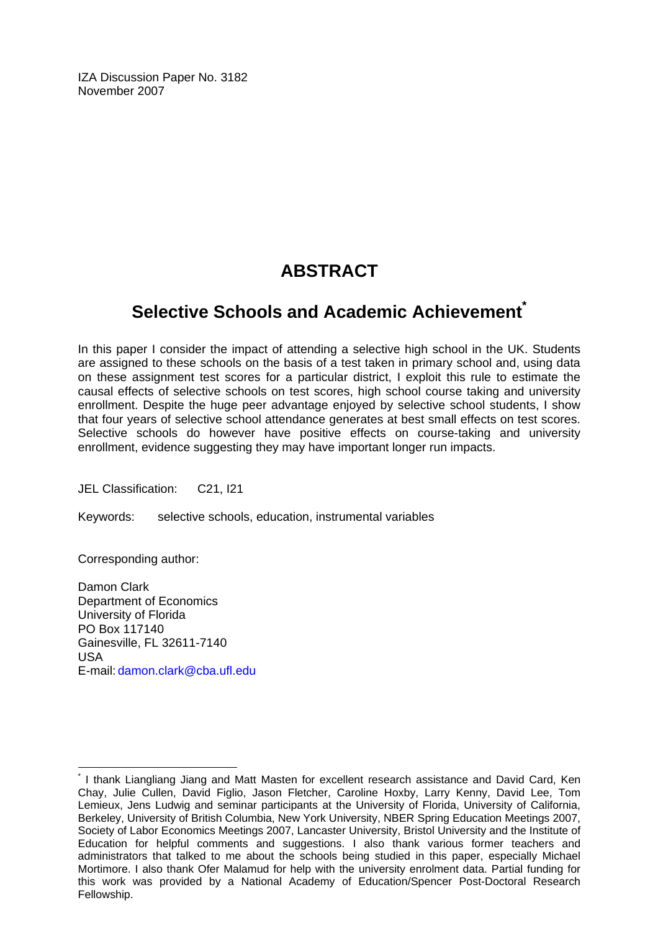IZA Discussion Paper No. 3182 November 2007

# **ABSTRACT**

### **Selective Schools and Academic Achievement[\\*](#page-2-0)**

In this paper I consider the impact of attending a selective high school in the UK. Students are assigned to these schools on the basis of a test taken in primary school and, using data on these assignment test scores for a particular district, I exploit this rule to estimate the causal effects of selective schools on test scores, high school course taking and university enrollment. Despite the huge peer advantage enjoyed by selective school students, I show that four years of selective school attendance generates at best small effects on test scores. Selective schools do however have positive effects on course-taking and university enrollment, evidence suggesting they may have important longer run impacts.

JEL Classification: C21, I21

Keywords: selective schools, education, instrumental variables

Corresponding author:

Damon Clark Department of Economics University of Florida PO Box 117140 Gainesville, FL 32611-7140 USA E-mail: [damon.clark@cba.ufl.edu](mailto:damon.clark@cba.ufl.edu)

<span id="page-2-0"></span> $\overline{a}$ \* I thank Liangliang Jiang and Matt Masten for excellent research assistance and David Card, Ken Chay, Julie Cullen, David Figlio, Jason Fletcher, Caroline Hoxby, Larry Kenny, David Lee, Tom Lemieux, Jens Ludwig and seminar participants at the University of Florida, University of California, Berkeley, University of British Columbia, New York University, NBER Spring Education Meetings 2007, Society of Labor Economics Meetings 2007, Lancaster University, Bristol University and the Institute of Education for helpful comments and suggestions. I also thank various former teachers and administrators that talked to me about the schools being studied in this paper, especially Michael Mortimore. I also thank Ofer Malamud for help with the university enrolment data. Partial funding for this work was provided by a National Academy of Education/Spencer Post-Doctoral Research Fellowship.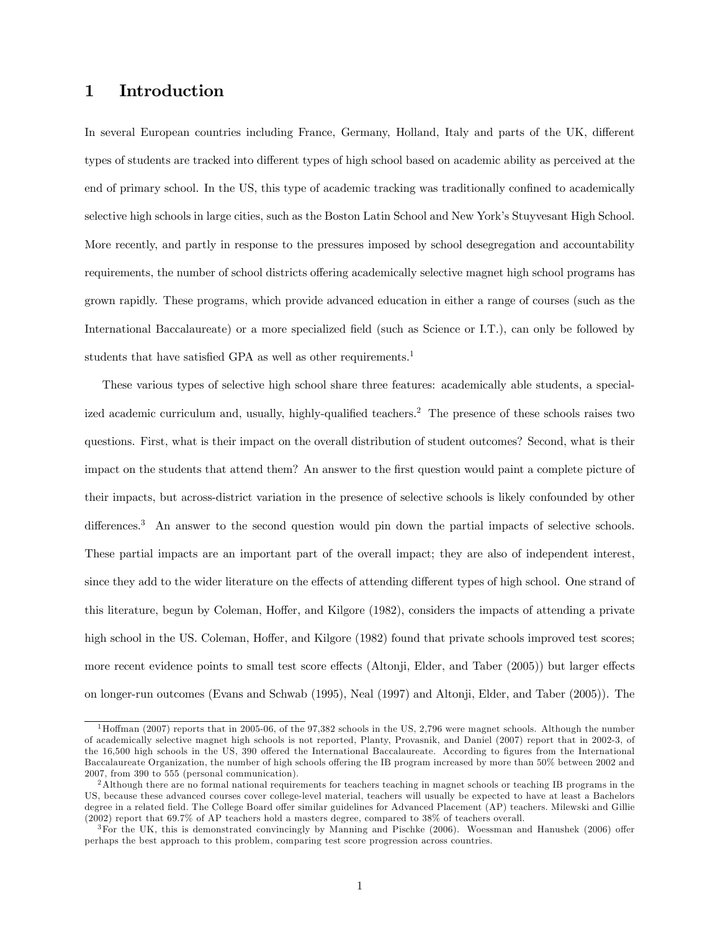#### 1 Introduction

In several European countries including France, Germany, Holland, Italy and parts of the UK, different types of students are tracked into different types of high school based on academic ability as perceived at the end of primary school. In the US, this type of academic tracking was traditionally confined to academically selective high schools in large cities, such as the Boston Latin School and New York's Stuyvesant High School. More recently, and partly in response to the pressures imposed by school desegregation and accountability requirements, the number of school districts offering academically selective magnet high school programs has grown rapidly. These programs, which provide advanced education in either a range of courses (such as the International Baccalaureate) or a more specialized field (such as Science or I.T.), can only be followed by students that have satisfied GPA as well as other requirements.<sup>1</sup>

These various types of selective high school share three features: academically able students, a specialized academic curriculum and, usually, highly-qualified teachers.2 The presence of these schools raises two questions. First, what is their impact on the overall distribution of student outcomes? Second, what is their impact on the students that attend them? An answer to the first question would paint a complete picture of their impacts, but across-district variation in the presence of selective schools is likely confounded by other differences.<sup>3</sup> An answer to the second question would pin down the partial impacts of selective schools. These partial impacts are an important part of the overall impact; they are also of independent interest, since they add to the wider literature on the effects of attending different types of high school. One strand of this literature, begun by Coleman, Hoffer, and Kilgore (1982), considers the impacts of attending a private high school in the US. Coleman, Hoffer, and Kilgore (1982) found that private schools improved test scores; more recent evidence points to small test score effects (Altonji, Elder, and Taber (2005)) but larger effects on longer-run outcomes (Evans and Schwab (1995), Neal (1997) and Altonji, Elder, and Taber (2005)). The

<sup>&</sup>lt;sup>1</sup>Hoffman (2007) reports that in 2005-06, of the 97,382 schools in the US, 2,796 were magnet schools. Although the number of academically selective magnet high schools is not reported, Planty, Provasnik, and Daniel (2007) report that in 2002-3, of the 16,500 high schools in the US, 390 offered the International Baccalaureate. According to figures from the International Baccalaureate Organization, the number of high schools offering the IB program increased by more than 50% between 2002 and 2007, from 390 to 555 (personal communication).

<sup>&</sup>lt;sup>2</sup>Although there are no formal national requirements for teachers teaching in magnet schools or teaching IB programs in the US, because these advanced courses cover college-level material, teachers will usually be expected to have at least a Bachelors degree in a related field. The College Board offer similar guidelines for Advanced Placement (AP) teachers. Milewski and Gillie (2002) report that 69.7% of AP teachers hold a masters degree, compared to 38% of teachers overall.

 $3$ For the UK, this is demonstrated convincingly by Manning and Pischke (2006). Woessman and Hanushek (2006) offer perhaps the best approach to this problem, comparing test score progression across countries.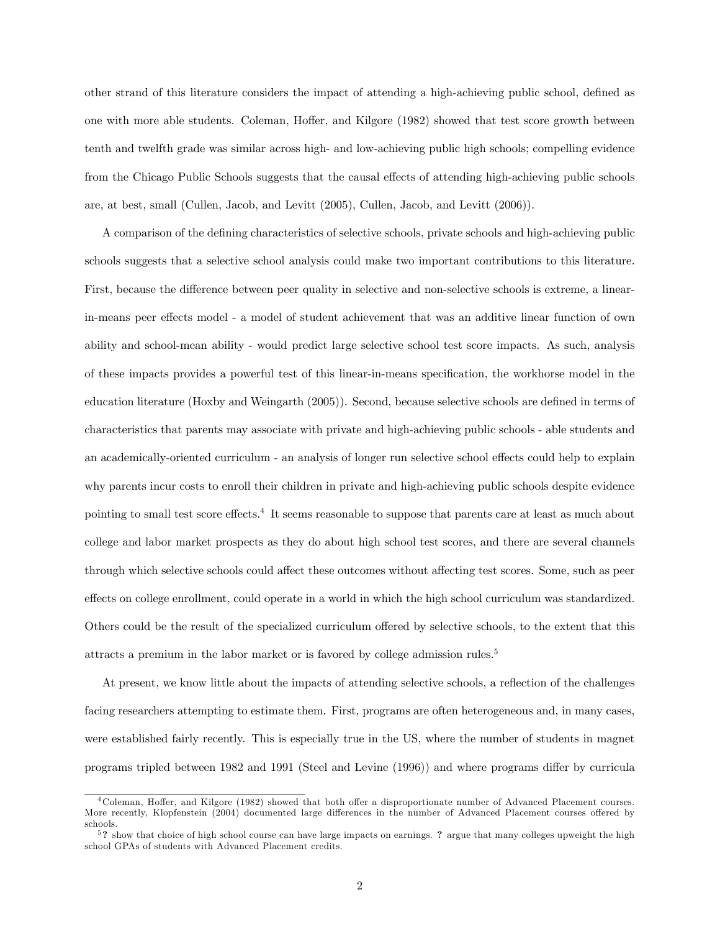other strand of this literature considers the impact of attending a high-achieving public school, defined as one with more able students. Coleman, Hoffer, and Kilgore (1982) showed that test score growth between tenth and twelfth grade was similar across high- and low-achieving public high schools; compelling evidence from the Chicago Public Schools suggests that the causal effects of attending high-achieving public schools are, at best, small (Cullen, Jacob, and Levitt (2005), Cullen, Jacob, and Levitt (2006)).

A comparison of the defining characteristics of selective schools, private schools and high-achieving public schools suggests that a selective school analysis could make two important contributions to this literature. First, because the difference between peer quality in selective and non-selective schools is extreme, a linearin-means peer effects model - a model of student achievement that was an additive linear function of own ability and school-mean ability - would predict large selective school test score impacts. As such, analysis of these impacts provides a powerful test of this linear-in-means specification, the workhorse model in the education literature (Hoxby and Weingarth (2005)). Second, because selective schools are defined in terms of characteristics that parents may associate with private and high-achieving public schools - able students and an academically-oriented curriculum - an analysis of longer run selective school effects could help to explain why parents incur costs to enroll their children in private and high-achieving public schools despite evidence pointing to small test score effects.4 It seems reasonable to suppose that parents care at least as much about college and labor market prospects as they do about high school test scores, and there are several channels through which selective schools could affect these outcomes without affecting test scores. Some, such as peer effects on college enrollment, could operate in a world in which the high school curriculum was standardized. Others could be the result of the specialized curriculum offered by selective schools, to the extent that this attracts a premium in the labor market or is favored by college admission rules.5

At present, we know little about the impacts of attending selective schools, a reflection of the challenges facing researchers attempting to estimate them. First, programs are often heterogeneous and, in many cases, were established fairly recently. This is especially true in the US, where the number of students in magnet programs tripled between 1982 and 1991 (Steel and Levine (1996)) and where programs differ by curricula

<sup>4</sup>Coleman, Hoffer, and Kilgore (1982) showed that both offer a disproportionate number of Advanced Placement courses. More recently, Klopfenstein (2004) documented large differences in the number of Advanced Placement courses offered by schools.

<sup>&</sup>lt;sup>5</sup>? show that choice of high school course can have large impacts on earnings. ? argue that many colleges upweight the high school GPAs of students with Advanced Placement credits.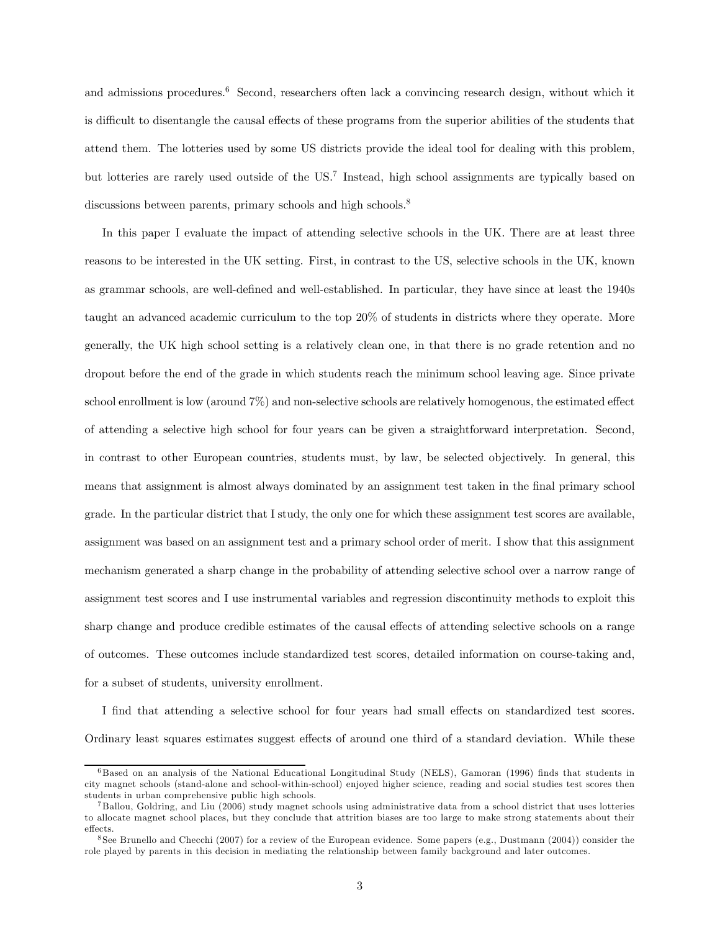and admissions procedures.<sup>6</sup> Second, researchers often lack a convincing research design, without which it is difficult to disentangle the causal effects of these programs from the superior abilities of the students that attend them. The lotteries used by some US districts provide the ideal tool for dealing with this problem, but lotteries are rarely used outside of the US.7 Instead, high school assignments are typically based on discussions between parents, primary schools and high schools.<sup>8</sup>

In this paper I evaluate the impact of attending selective schools in the UK. There are at least three reasons to be interested in the UK setting. First, in contrast to the US, selective schools in the UK, known as grammar schools, are well-defined and well-established. In particular, they have since at least the 1940s taught an advanced academic curriculum to the top 20% of students in districts where they operate. More generally, the UK high school setting is a relatively clean one, in that there is no grade retention and no dropout before the end of the grade in which students reach the minimum school leaving age. Since private school enrollment is low (around 7%) and non-selective schools are relatively homogenous, the estimated effect of attending a selective high school for four years can be given a straightforward interpretation. Second, in contrast to other European countries, students must, by law, be selected objectively. In general, this means that assignment is almost always dominated by an assignment test taken in the final primary school grade. In the particular district that I study, the only one for which these assignment test scores are available, assignment was based on an assignment test and a primary school order of merit. I show that this assignment mechanism generated a sharp change in the probability of attending selective school over a narrow range of assignment test scores and I use instrumental variables and regression discontinuity methods to exploit this sharp change and produce credible estimates of the causal effects of attending selective schools on a range of outcomes. These outcomes include standardized test scores, detailed information on course-taking and, for a subset of students, university enrollment.

I find that attending a selective school for four years had small effects on standardized test scores. Ordinary least squares estimates suggest effects of around one third of a standard deviation. While these

<sup>6</sup> Based on an analysis of the National Educational Longitudinal Study (NELS), Gamoran (1996) finds that students in city magnet schools (stand-alone and school-within-school) enjoyed higher science, reading and social studies test scores then students in urban comprehensive public high schools.

<sup>7</sup> Ballou, Goldring, and Liu (2006) study magnet schools using administrative data from a school district that uses lotteries to allocate magnet school places, but they conclude that attrition biases are too large to make strong statements about their effects.

<sup>&</sup>lt;sup>8</sup> See Brunello and Checchi (2007) for a review of the European evidence. Some papers (e.g., Dustmann (2004)) consider the role played by parents in this decision in mediating the relationship between family background and later outcomes.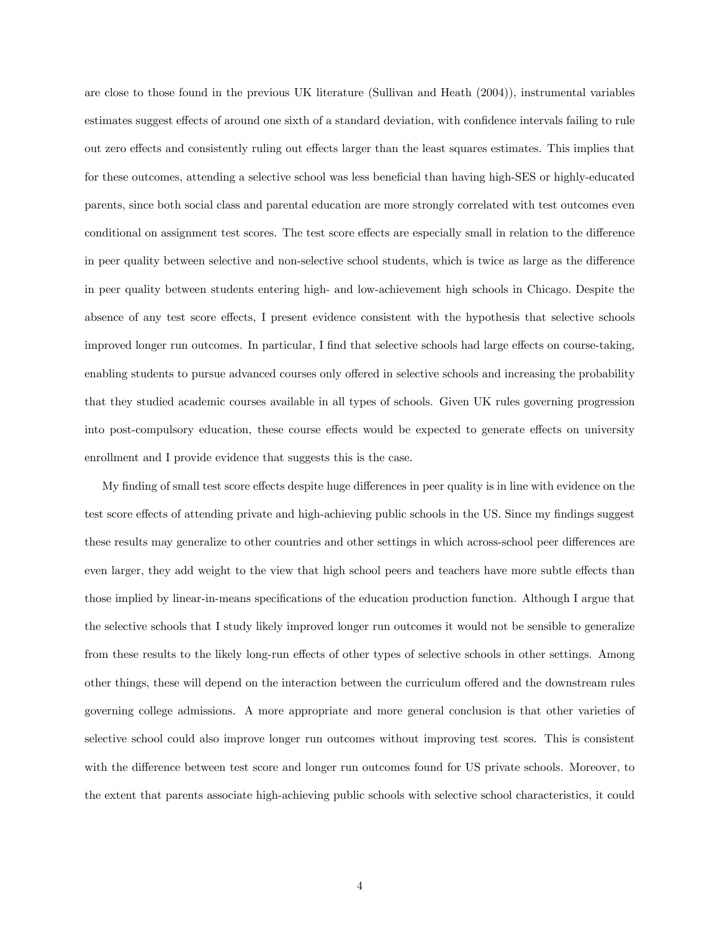are close to those found in the previous UK literature (Sullivan and Heath (2004)), instrumental variables estimates suggest effects of around one sixth of a standard deviation, with confidence intervals failing to rule out zero effects and consistently ruling out effects larger than the least squares estimates. This implies that for these outcomes, attending a selective school was less beneficial than having high-SES or highly-educated parents, since both social class and parental education are more strongly correlated with test outcomes even conditional on assignment test scores. The test score effects are especially small in relation to the difference in peer quality between selective and non-selective school students, which is twice as large as the difference in peer quality between students entering high- and low-achievement high schools in Chicago. Despite the absence of any test score effects, I present evidence consistent with the hypothesis that selective schools improved longer run outcomes. In particular, I find that selective schools had large effects on course-taking, enabling students to pursue advanced courses only offered in selective schools and increasing the probability that they studied academic courses available in all types of schools. Given UK rules governing progression into post-compulsory education, these course effects would be expected to generate effects on university enrollment and I provide evidence that suggests this is the case.

My finding of small test score effects despite huge differences in peer quality is in line with evidence on the test score effects of attending private and high-achieving public schools in the US. Since my findings suggest these results may generalize to other countries and other settings in which across-school peer differences are even larger, they add weight to the view that high school peers and teachers have more subtle effects than those implied by linear-in-means specifications of the education production function. Although I argue that the selective schools that I study likely improved longer run outcomes it would not be sensible to generalize from these results to the likely long-run effects of other types of selective schools in other settings. Among other things, these will depend on the interaction between the curriculum offered and the downstream rules governing college admissions. A more appropriate and more general conclusion is that other varieties of selective school could also improve longer run outcomes without improving test scores. This is consistent with the difference between test score and longer run outcomes found for US private schools. Moreover, to the extent that parents associate high-achieving public schools with selective school characteristics, it could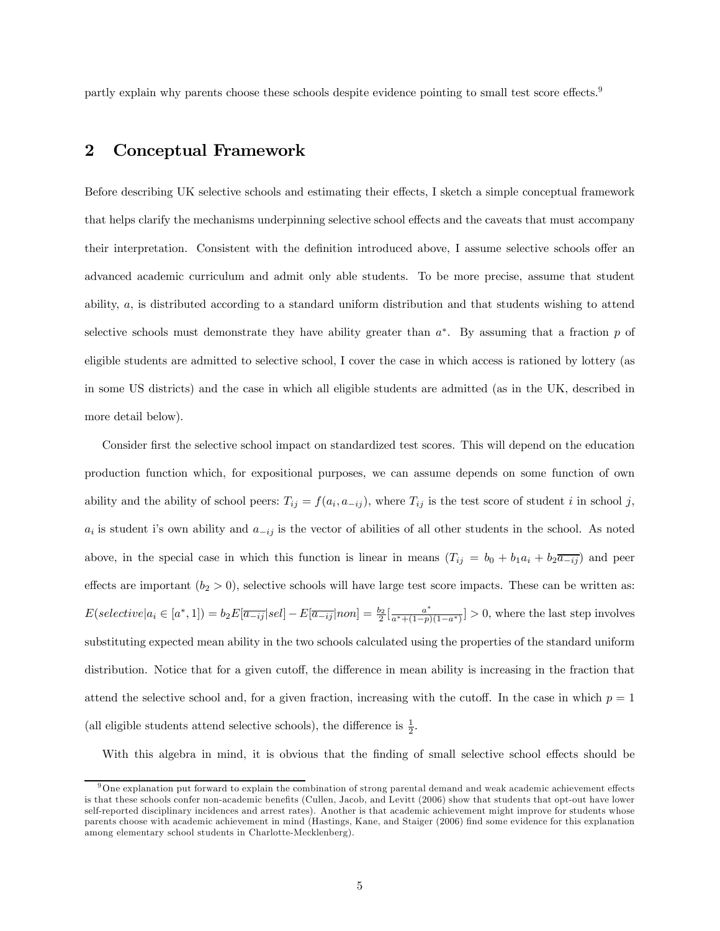partly explain why parents choose these schools despite evidence pointing to small test score effects.9

#### 2 Conceptual Framework

Before describing UK selective schools and estimating their effects, I sketch a simple conceptual framework that helps clarify the mechanisms underpinning selective school effects and the caveats that must accompany their interpretation. Consistent with the definition introduced above, I assume selective schools offer an advanced academic curriculum and admit only able students. To be more precise, assume that student ability, a, is distributed according to a standard uniform distribution and that students wishing to attend selective schools must demonstrate they have ability greater than  $a^*$ . By assuming that a fraction p of eligible students are admitted to selective school, I cover the case in which access is rationed by lottery (as in some US districts) and the case in which all eligible students are admitted (as in the UK, described in more detail below).

Consider first the selective school impact on standardized test scores. This will depend on the education production function which, for expositional purposes, we can assume depends on some function of own ability and the ability of school peers:  $T_{ij} = f(a_i, a_{-ij})$ , where  $T_{ij}$  is the test score of student i in school j,  $a_i$  is student i's own ability and  $a_{-ij}$  is the vector of abilities of all other students in the school. As noted above, in the special case in which this function is linear in means  $(T_{ij} = b_0 + b_1 a_i + b_2 \overline{a_{-ij}})$  and peer effects are important  $(b_2 > 0)$ , selective schools will have large test score impacts. These can be written as:  $E(selectric|a_i \in [a^*,1]) = b_2E[\overline{a_{-ij}}|sel] - E[\overline{a_{-ij}}|non] = \frac{b_2}{2}[\frac{a^*}{a^*+(1-p)(1-a^*)}] > 0$ , where the last step involves substituting expected mean ability in the two schools calculated using the properties of the standard uniform distribution. Notice that for a given cutoff, the difference in mean ability is increasing in the fraction that attend the selective school and, for a given fraction, increasing with the cutoff. In the case in which  $p = 1$ (all eligible students attend selective schools), the difference is  $\frac{1}{2}$ .

With this algebra in mind, it is obvious that the finding of small selective school effects should be

 $9$ One explanation put forward to explain the combination of strong parental demand and weak academic achievement effects is that these schools confer non-academic benefits (Cullen, Jacob, and Levitt (2006) show that students that opt-out have lower self-reported disciplinary incidences and arrest rates). Another is that academic achievement might improve for students whose parents choose with academic achievement in mind (Hastings, Kane, and Staiger (2006) find some evidence for this explanation among elementary school students in Charlotte-Mecklenberg).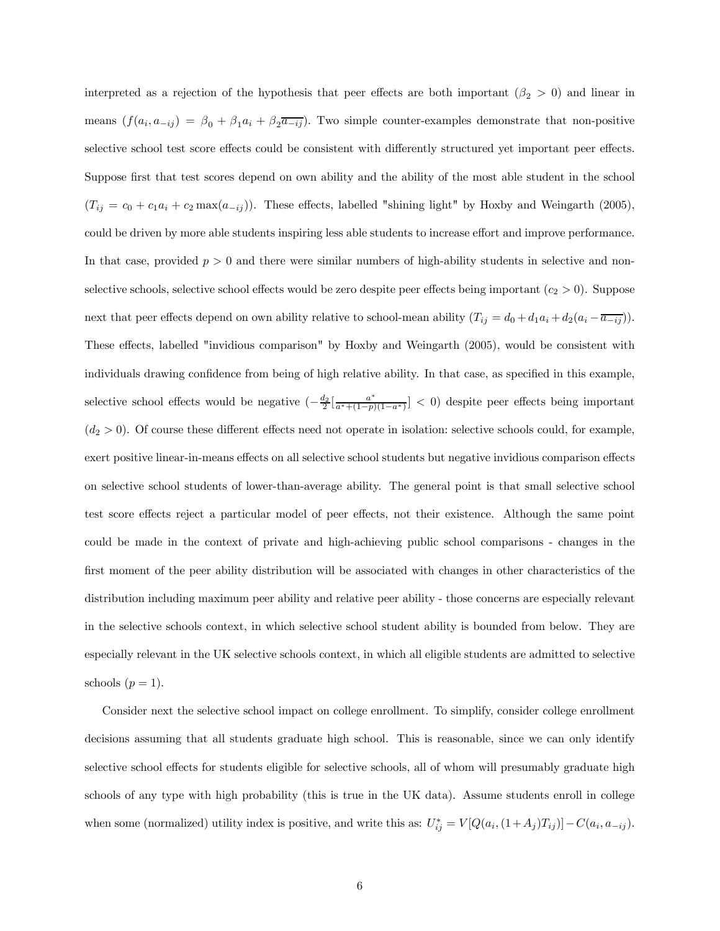interpreted as a rejection of the hypothesis that peer effects are both important ( $\beta_2 > 0$ ) and linear in means  $(f(a_i, a_{-ij}) = \beta_0 + \beta_1 a_i + \beta_2 \overline{a_{-ij}})$ . Two simple counter-examples demonstrate that non-positive selective school test score effects could be consistent with differently structured yet important peer effects. Suppose first that test scores depend on own ability and the ability of the most able student in the school  $(T_{ij} = c_0 + c_1 a_i + c_2 \max(a_{-ij})$ . These effects, labelled "shining light" by Hoxby and Weingarth (2005), could be driven by more able students inspiring less able students to increase effort and improve performance. In that case, provided  $p > 0$  and there were similar numbers of high-ability students in selective and nonselective schools, selective school effects would be zero despite peer effects being important  $(c_2 > 0)$ . Suppose next that peer effects depend on own ability relative to school-mean ability  $(T_{ij} = d_0 + d_1 a_i + d_2 (a_i - \overline{a_{-ij}}))$ . These effects, labelled "invidious comparison" by Hoxby and Weingarth (2005), would be consistent with individuals drawing confidence from being of high relative ability. In that case, as specified in this example, selective school effects would be negative  $\left(-\frac{d_2}{2}\left[\frac{a^*}{a^*+(1-p)(1-a^*)}\right] < 0\right)$  despite peer effects being important  $(d_2 > 0)$ . Of course these different effects need not operate in isolation: selective schools could, for example, exert positive linear-in-means effects on all selective school students but negative invidious comparison effects on selective school students of lower-than-average ability. The general point is that small selective school test score effects reject a particular model of peer effects, not their existence. Although the same point could be made in the context of private and high-achieving public school comparisons - changes in the first moment of the peer ability distribution will be associated with changes in other characteristics of the distribution including maximum peer ability and relative peer ability - those concerns are especially relevant in the selective schools context, in which selective school student ability is bounded from below. They are especially relevant in the UK selective schools context, in which all eligible students are admitted to selective schools  $(p = 1)$ .

Consider next the selective school impact on college enrollment. To simplify, consider college enrollment decisions assuming that all students graduate high school. This is reasonable, since we can only identify selective school effects for students eligible for selective schools, all of whom will presumably graduate high schools of any type with high probability (this is true in the UK data). Assume students enroll in college when some (normalized) utility index is positive, and write this as:  $U_{ij}^* = V[Q(a_i, (1+A_j)T_{ij})] - C(a_i, a_{-ij}).$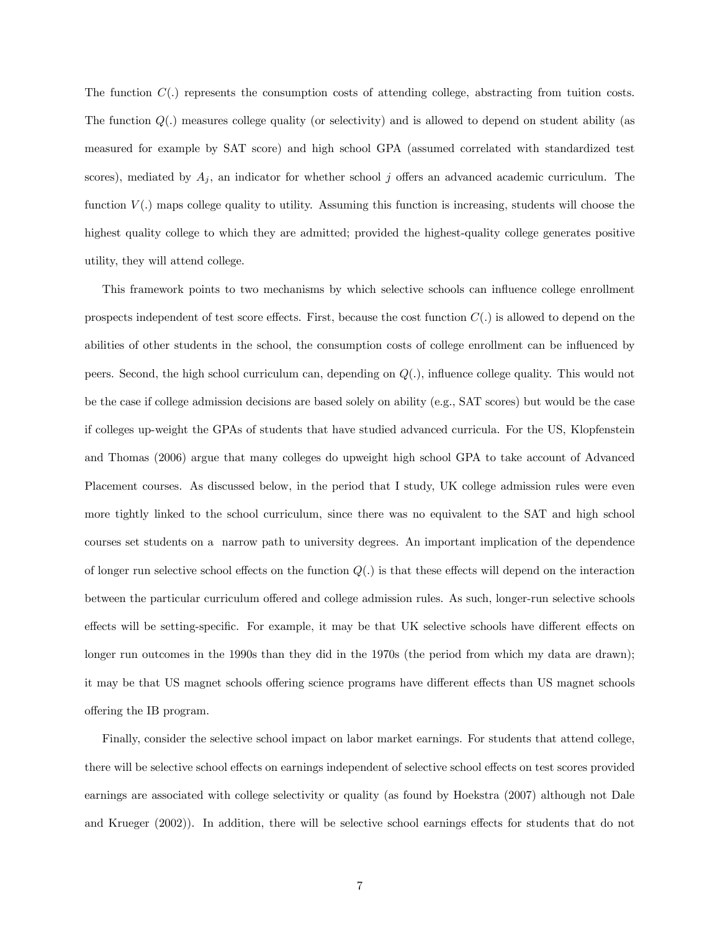The function  $C(.)$  represents the consumption costs of attending college, abstracting from tuition costs. The function  $Q(.)$  measures college quality (or selectivity) and is allowed to depend on student ability (as measured for example by SAT score) and high school GPA (assumed correlated with standardized test scores), mediated by  $A_j$ , an indicator for whether school j offers an advanced academic curriculum. The function  $V(.)$  maps college quality to utility. Assuming this function is increasing, students will choose the highest quality college to which they are admitted; provided the highest-quality college generates positive utility, they will attend college.

This framework points to two mechanisms by which selective schools can influence college enrollment prospects independent of test score effects. First, because the cost function  $C(.)$  is allowed to depend on the abilities of other students in the school, the consumption costs of college enrollment can be influenced by peers. Second, the high school curriculum can, depending on  $Q(.)$ , influence college quality. This would not be the case if college admission decisions are based solely on ability (e.g., SAT scores) but would be the case if colleges up-weight the GPAs of students that have studied advanced curricula. For the US, Klopfenstein and Thomas (2006) argue that many colleges do upweight high school GPA to take account of Advanced Placement courses. As discussed below, in the period that I study, UK college admission rules were even more tightly linked to the school curriculum, since there was no equivalent to the SAT and high school courses set students on a narrow path to university degrees. An important implication of the dependence of longer run selective school effects on the function  $Q(.)$  is that these effects will depend on the interaction between the particular curriculum offered and college admission rules. As such, longer-run selective schools effects will be setting-specific. For example, it may be that UK selective schools have different effects on longer run outcomes in the 1990s than they did in the 1970s (the period from which my data are drawn); it may be that US magnet schools offering science programs have different effects than US magnet schools offering the IB program.

Finally, consider the selective school impact on labor market earnings. For students that attend college, there will be selective school effects on earnings independent of selective school effects on test scores provided earnings are associated with college selectivity or quality (as found by Hoekstra (2007) although not Dale and Krueger (2002)). In addition, there will be selective school earnings effects for students that do not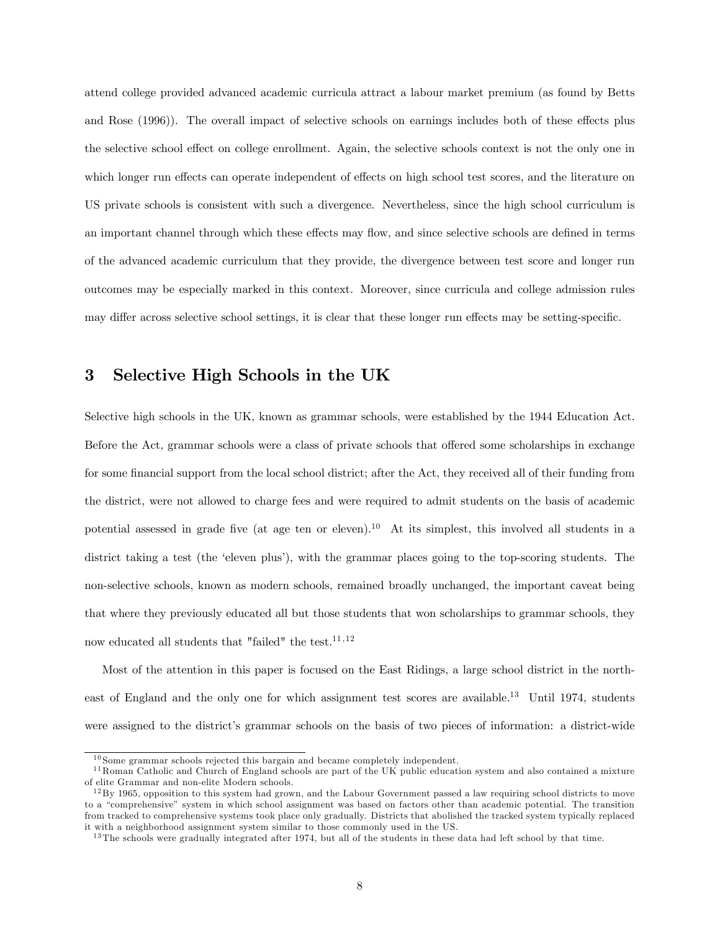attend college provided advanced academic curricula attract a labour market premium (as found by Betts and Rose (1996)). The overall impact of selective schools on earnings includes both of these effects plus the selective school effect on college enrollment. Again, the selective schools context is not the only one in which longer run effects can operate independent of effects on high school test scores, and the literature on US private schools is consistent with such a divergence. Nevertheless, since the high school curriculum is an important channel through which these effects may flow, and since selective schools are defined in terms of the advanced academic curriculum that they provide, the divergence between test score and longer run outcomes may be especially marked in this context. Moreover, since curricula and college admission rules may differ across selective school settings, it is clear that these longer run effects may be setting-specific.

#### 3 Selective High Schools in the UK

Selective high schools in the UK, known as grammar schools, were established by the 1944 Education Act. Before the Act, grammar schools were a class of private schools that offered some scholarships in exchange for some financial support from the local school district; after the Act, they received all of their funding from the district, were not allowed to charge fees and were required to admit students on the basis of academic potential assessed in grade five (at age ten or eleven).10 At its simplest, this involved all students in a district taking a test (the 'eleven plus'), with the grammar places going to the top-scoring students. The non-selective schools, known as modern schools, remained broadly unchanged, the important caveat being that where they previously educated all but those students that won scholarships to grammar schools, they now educated all students that "failed" the test.  $^{11,12}$ 

Most of the attention in this paper is focused on the East Ridings, a large school district in the northeast of England and the only one for which assignment test scores are available.13 Until 1974, students were assigned to the district's grammar schools on the basis of two pieces of information: a district-wide

 $10$  Some grammar schools rejected this bargain and became completely independent.

<sup>&</sup>lt;sup>11</sup> Roman Catholic and Church of England schools are part of the UK public education system and also contained a mixture of elite Grammar and non-elite Modern schools.

 $12\,\text{By}$  1965, opposition to this system had grown, and the Labour Government passed a law requiring school districts to move to a "comprehensive" system in which school assignment was based on factors other than academic potential. The transition from tracked to comprehensive systems took place only gradually. Districts that abolished the tracked system typically replaced it with a neighborhood assignment system similar to those commonly used in the US.

 $13$ The schools were gradually integrated after 1974, but all of the students in these data had left school by that time.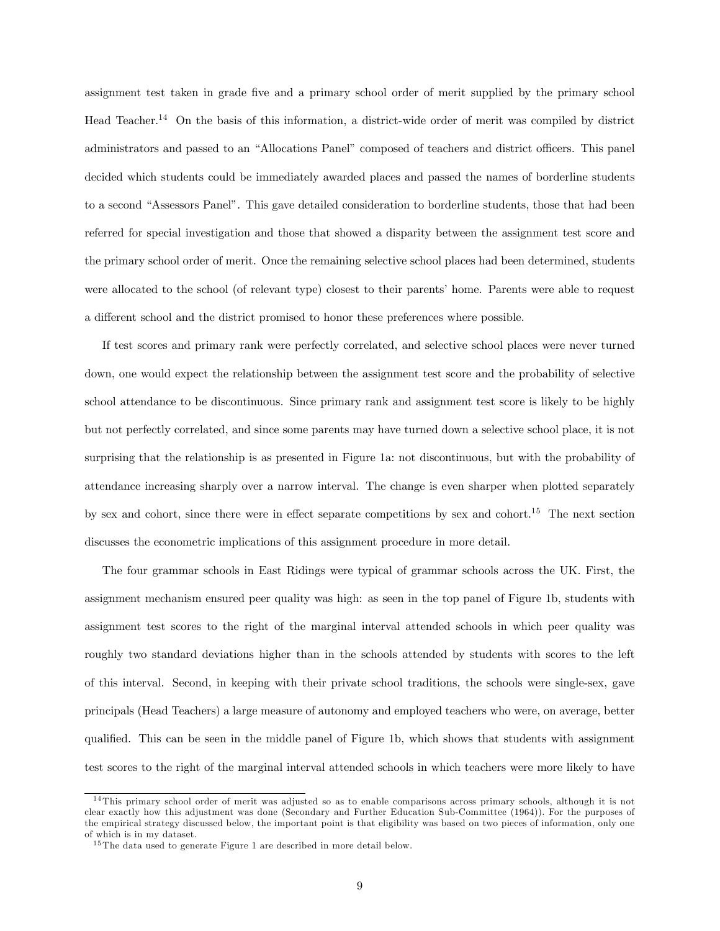assignment test taken in grade five and a primary school order of merit supplied by the primary school Head Teacher.14 On the basis of this information, a district-wide order of merit was compiled by district administrators and passed to an "Allocations Panel" composed of teachers and district officers. This panel decided which students could be immediately awarded places and passed the names of borderline students to a second "Assessors Panel". This gave detailed consideration to borderline students, those that had been referred for special investigation and those that showed a disparity between the assignment test score and the primary school order of merit. Once the remaining selective school places had been determined, students were allocated to the school (of relevant type) closest to their parents' home. Parents were able to request a different school and the district promised to honor these preferences where possible.

If test scores and primary rank were perfectly correlated, and selective school places were never turned down, one would expect the relationship between the assignment test score and the probability of selective school attendance to be discontinuous. Since primary rank and assignment test score is likely to be highly but not perfectly correlated, and since some parents may have turned down a selective school place, it is not surprising that the relationship is as presented in Figure 1a: not discontinuous, but with the probability of attendance increasing sharply over a narrow interval. The change is even sharper when plotted separately by sex and cohort, since there were in effect separate competitions by sex and cohort.<sup>15</sup> The next section discusses the econometric implications of this assignment procedure in more detail.

The four grammar schools in East Ridings were typical of grammar schools across the UK. First, the assignment mechanism ensured peer quality was high: as seen in the top panel of Figure 1b, students with assignment test scores to the right of the marginal interval attended schools in which peer quality was roughly two standard deviations higher than in the schools attended by students with scores to the left of this interval. Second, in keeping with their private school traditions, the schools were single-sex, gave principals (Head Teachers) a large measure of autonomy and employed teachers who were, on average, better qualified. This can be seen in the middle panel of Figure 1b, which shows that students with assignment test scores to the right of the marginal interval attended schools in which teachers were more likely to have

<sup>&</sup>lt;sup>14</sup>This primary school order of merit was adjusted so as to enable comparisons across primary schools, although it is not clear exactly how this adjustment was done (Secondary and Further Education Sub-Committee (1964)). For the purposes of the empirical strategy discussed below, the important point is that eligibility was based on two pieces of information, only one of which is in my dataset.

 $15$ The data used to generate Figure 1 are described in more detail below.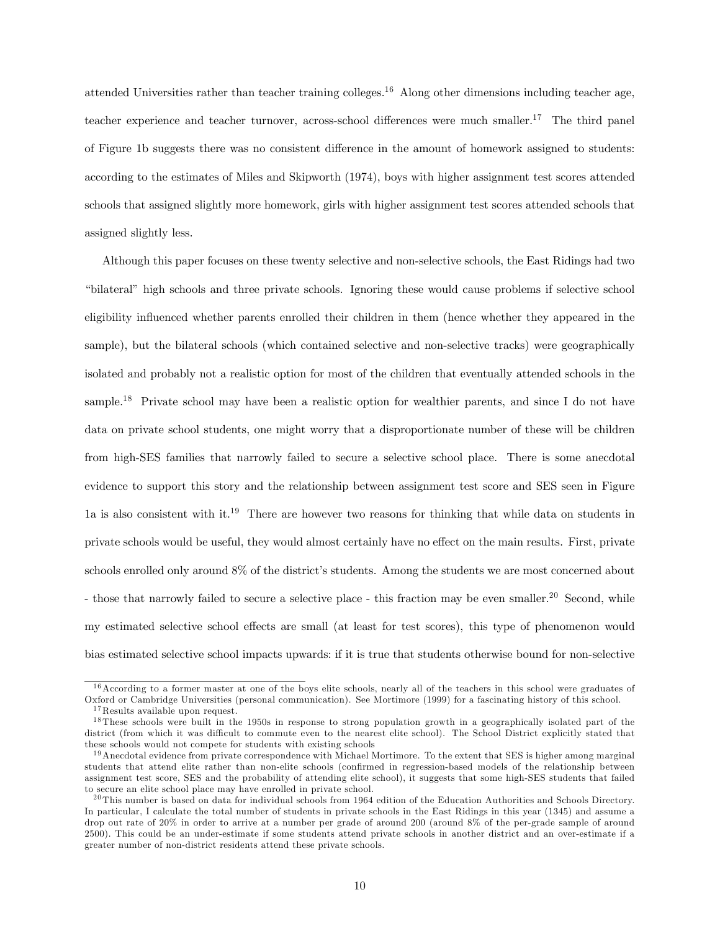attended Universities rather than teacher training colleges.16 Along other dimensions including teacher age, teacher experience and teacher turnover, across-school differences were much smaller.17 The third panel of Figure 1b suggests there was no consistent difference in the amount of homework assigned to students: according to the estimates of Miles and Skipworth (1974), boys with higher assignment test scores attended schools that assigned slightly more homework, girls with higher assignment test scores attended schools that assigned slightly less.

Although this paper focuses on these twenty selective and non-selective schools, the East Ridings had two "bilateral" high schools and three private schools. Ignoring these would cause problems if selective school eligibility influenced whether parents enrolled their children in them (hence whether they appeared in the sample), but the bilateral schools (which contained selective and non-selective tracks) were geographically isolated and probably not a realistic option for most of the children that eventually attended schools in the sample.<sup>18</sup> Private school may have been a realistic option for wealthier parents, and since I do not have data on private school students, one might worry that a disproportionate number of these will be children from high-SES families that narrowly failed to secure a selective school place. There is some anecdotal evidence to support this story and the relationship between assignment test score and SES seen in Figure 1a is also consistent with it.<sup>19</sup> There are however two reasons for thinking that while data on students in private schools would be useful, they would almost certainly have no effect on the main results. First, private schools enrolled only around 8% of the district's students. Among the students we are most concerned about - those that narrowly failed to secure a selective place - this fraction may be even smaller.<sup>20</sup> Second, while my estimated selective school effects are small (at least for test scores), this type of phenomenon would bias estimated selective school impacts upwards: if it is true that students otherwise bound for non-selective

 $16$  According to a former master at one of the boys elite schools, nearly all of the teachers in this school were graduates of Oxford or Cambridge Universities (personal communication). See Mortimore (1999) for a fascinating history of this school. <sup>17</sup>Results available upon request.

<sup>&</sup>lt;sup>18</sup>These schools were built in the 1950s in response to strong population growth in a geographically isolated part of the district (from which it was difficult to commute even to the nearest elite school). The School District explicitly stated that these schools would not compete for students with existing schools

 $19$ Anecdotal evidence from private correspondence with Michael Mortimore. To the extent that SES is higher among marginal students that attend elite rather than non-elite schools (confirmed in regression-based models of the relationship between assignment test score, SES and the probability of attending elite school), it suggests that some high-SES students that failed to secure an elite school place may have enrolled in private school.

<sup>&</sup>lt;sup>20</sup>This number is based on data for individual schools from 1964 edition of the Education Authorities and Schools Directory. In particular, I calculate the total number of students in private schools in the East Ridings in this year (1345) and assume a drop out rate of 20% in order to arrive at a number per grade of around 200 (around 8% of the per-grade sample of around 2500). This could be an under-estimate if some students attend private schools in another district and an over-estimate if a greater number of non-district residents attend these private schools.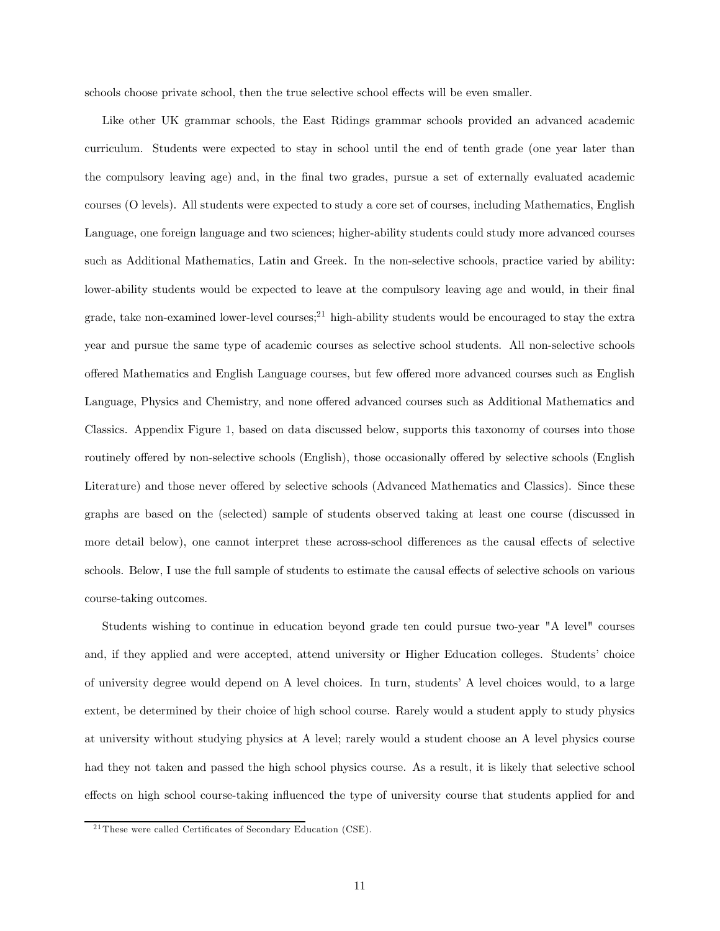schools choose private school, then the true selective school effects will be even smaller.

Like other UK grammar schools, the East Ridings grammar schools provided an advanced academic curriculum. Students were expected to stay in school until the end of tenth grade (one year later than the compulsory leaving age) and, in the final two grades, pursue a set of externally evaluated academic courses (O levels). All students were expected to study a core set of courses, including Mathematics, English Language, one foreign language and two sciences; higher-ability students could study more advanced courses such as Additional Mathematics, Latin and Greek. In the non-selective schools, practice varied by ability: lower-ability students would be expected to leave at the compulsory leaving age and would, in their final grade, take non-examined lower-level courses;<sup>21</sup> high-ability students would be encouraged to stay the extra year and pursue the same type of academic courses as selective school students. All non-selective schools offered Mathematics and English Language courses, but few offered more advanced courses such as English Language, Physics and Chemistry, and none offered advanced courses such as Additional Mathematics and Classics. Appendix Figure 1, based on data discussed below, supports this taxonomy of courses into those routinely offered by non-selective schools (English), those occasionally offered by selective schools (English Literature) and those never offered by selective schools (Advanced Mathematics and Classics). Since these graphs are based on the (selected) sample of students observed taking at least one course (discussed in more detail below), one cannot interpret these across-school differences as the causal effects of selective schools. Below, I use the full sample of students to estimate the causal effects of selective schools on various course-taking outcomes.

Students wishing to continue in education beyond grade ten could pursue two-year "A level" courses and, if they applied and were accepted, attend university or Higher Education colleges. Students' choice of university degree would depend on A level choices. In turn, students' A level choices would, to a large extent, be determined by their choice of high school course. Rarely would a student apply to study physics at university without studying physics at A level; rarely would a student choose an A level physics course had they not taken and passed the high school physics course. As a result, it is likely that selective school effects on high school course-taking influenced the type of university course that students applied for and

 $21$  These were called Certificates of Secondary Education (CSE).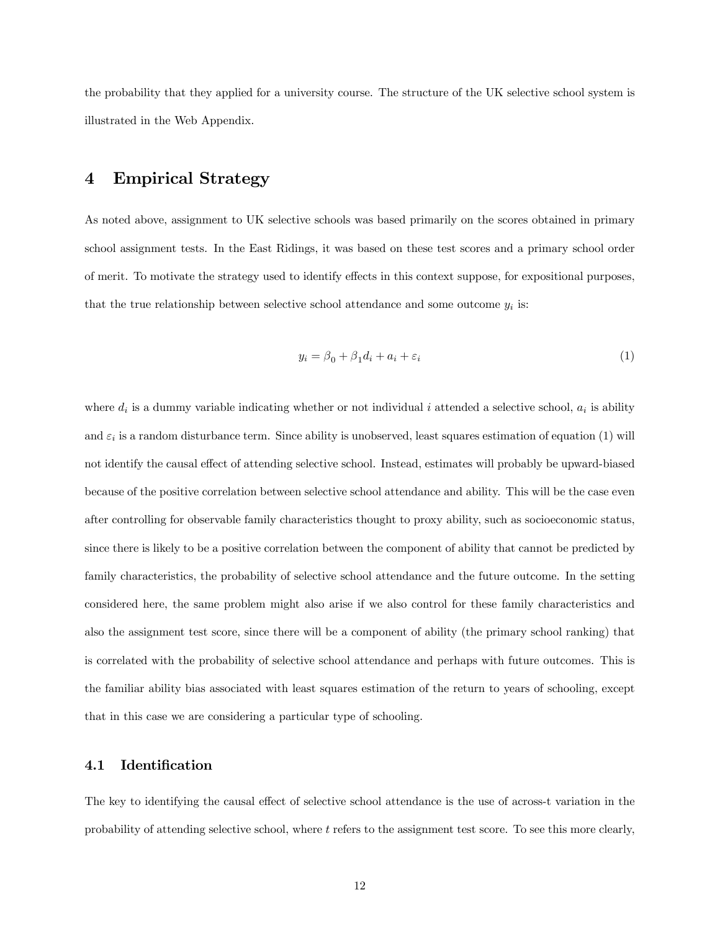the probability that they applied for a university course. The structure of the UK selective school system is illustrated in the Web Appendix.

#### 4 Empirical Strategy

As noted above, assignment to UK selective schools was based primarily on the scores obtained in primary school assignment tests. In the East Ridings, it was based on these test scores and a primary school order of merit. To motivate the strategy used to identify effects in this context suppose, for expositional purposes, that the true relationship between selective school attendance and some outcome  $y_i$  is:

$$
y_i = \beta_0 + \beta_1 d_i + a_i + \varepsilon_i \tag{1}
$$

where  $d_i$  is a dummy variable indicating whether or not individual i attended a selective school,  $a_i$  is ability and  $\varepsilon_i$  is a random disturbance term. Since ability is unobserved, least squares estimation of equation (1) will not identify the causal effect of attending selective school. Instead, estimates will probably be upward-biased because of the positive correlation between selective school attendance and ability. This will be the case even after controlling for observable family characteristics thought to proxy ability, such as socioeconomic status, since there is likely to be a positive correlation between the component of ability that cannot be predicted by family characteristics, the probability of selective school attendance and the future outcome. In the setting considered here, the same problem might also arise if we also control for these family characteristics and also the assignment test score, since there will be a component of ability (the primary school ranking) that is correlated with the probability of selective school attendance and perhaps with future outcomes. This is the familiar ability bias associated with least squares estimation of the return to years of schooling, except that in this case we are considering a particular type of schooling.

#### 4.1 Identification

The key to identifying the causal effect of selective school attendance is the use of across-t variation in the probability of attending selective school, where t refers to the assignment test score. To see this more clearly,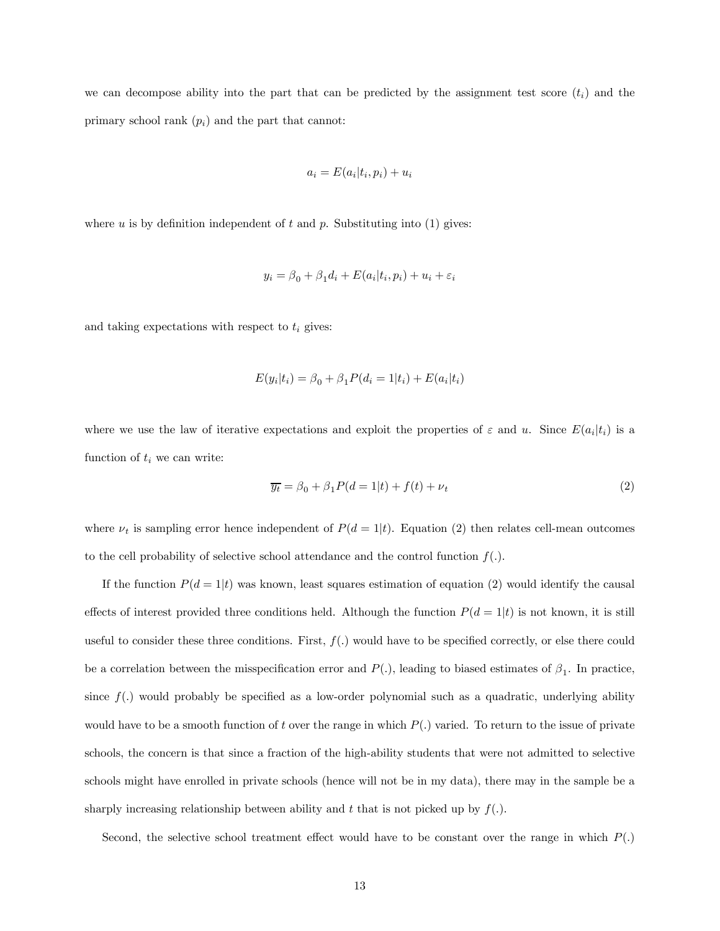we can decompose ability into the part that can be predicted by the assignment test score  $(t_i)$  and the primary school rank  $(p_i)$  and the part that cannot:

$$
a_i = E(a_i | t_i, p_i) + u_i
$$

where  $u$  is by definition independent of  $t$  and  $p$ . Substituting into (1) gives:

$$
y_i = \beta_0 + \beta_1 d_i + E(a_i|t_i, p_i) + u_i + \varepsilon_i
$$

and taking expectations with respect to  $t_i$  gives:

$$
E(y_i|t_i) = \beta_0 + \beta_1 P(d_i = 1|t_i) + E(a_i|t_i)
$$

where we use the law of iterative expectations and exploit the properties of  $\varepsilon$  and u. Since  $E(a_i|t_i)$  is a function of  $t_i$  we can write:

$$
\overline{y_t} = \beta_0 + \beta_1 P(d = 1|t) + f(t) + \nu_t \tag{2}
$$

where  $\nu_t$  is sampling error hence independent of  $P(d = 1|t)$ . Equation (2) then relates cell-mean outcomes to the cell probability of selective school attendance and the control function  $f(.)$ .

If the function  $P(d = 1|t)$  was known, least squares estimation of equation (2) would identify the causal effects of interest provided three conditions held. Although the function  $P(d = 1|t)$  is not known, it is still useful to consider these three conditions. First,  $f(.)$  would have to be specified correctly, or else there could be a correlation between the misspecification error and  $P(.)$ , leading to biased estimates of  $\beta_1$ . In practice, since  $f(.)$  would probably be specified as a low-order polynomial such as a quadratic, underlying ability would have to be a smooth function of t over the range in which  $P(.)$  varied. To return to the issue of private schools, the concern is that since a fraction of the high-ability students that were not admitted to selective schools might have enrolled in private schools (hence will not be in my data), there may in the sample be a sharply increasing relationship between ability and t that is not picked up by  $f(.)$ .

Second, the selective school treatment effect would have to be constant over the range in which  $P(.)$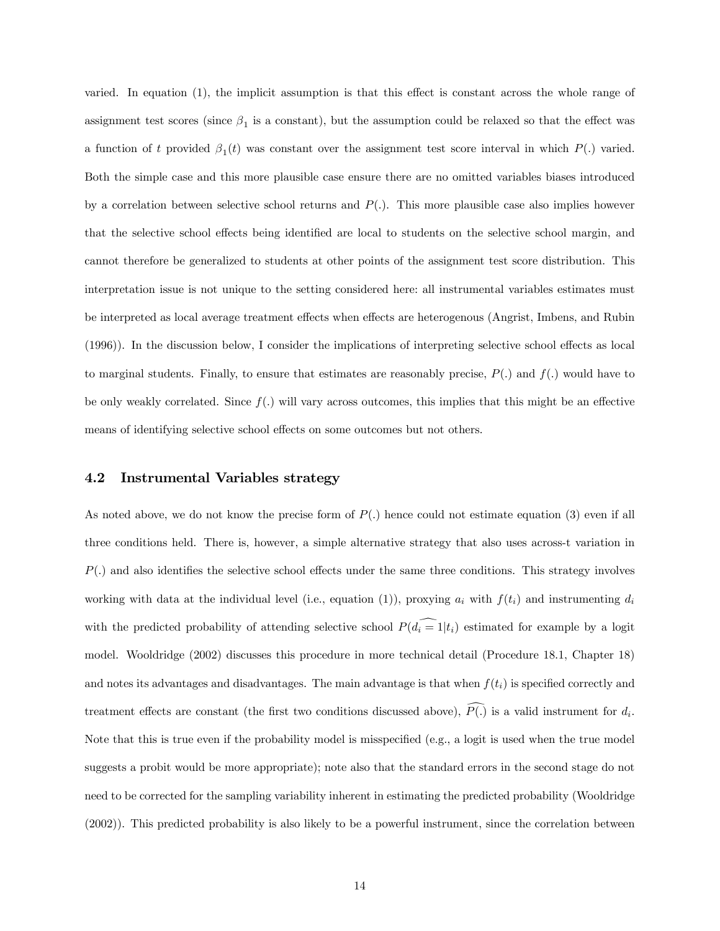varied. In equation (1), the implicit assumption is that this effect is constant across the whole range of assignment test scores (since  $\beta_1$  is a constant), but the assumption could be relaxed so that the effect was a function of t provided  $\beta_1(t)$  was constant over the assignment test score interval in which  $P(.)$  varied. Both the simple case and this more plausible case ensure there are no omitted variables biases introduced by a correlation between selective school returns and  $P(.)$ . This more plausible case also implies however that the selective school effects being identified are local to students on the selective school margin, and cannot therefore be generalized to students at other points of the assignment test score distribution. This interpretation issue is not unique to the setting considered here: all instrumental variables estimates must be interpreted as local average treatment effects when effects are heterogenous (Angrist, Imbens, and Rubin (1996)). In the discussion below, I consider the implications of interpreting selective school effects as local to marginal students. Finally, to ensure that estimates are reasonably precise,  $P(.)$  and  $f(.)$  would have to be only weakly correlated. Since  $f(.)$  will vary across outcomes, this implies that this might be an effective means of identifying selective school effects on some outcomes but not others.

#### 4.2 Instrumental Variables strategy

As noted above, we do not know the precise form of  $P(.)$  hence could not estimate equation (3) even if all three conditions held. There is, however, a simple alternative strategy that also uses across-t variation in  $P(.)$  and also identifies the selective school effects under the same three conditions. This strategy involves working with data at the individual level (i.e., equation (1)), proxying  $a_i$  with  $f(t_i)$  and instrumenting  $d_i$ with the predicted probability of attending selective school  $P(d_i = 1|t_i)$  estimated for example by a logit model. Wooldridge (2002) discusses this procedure in more technical detail (Procedure 18.1, Chapter 18) and notes its advantages and disadvantages. The main advantage is that when  $f(t<sub>i</sub>)$  is specified correctly and treatment effects are constant (the first two conditions discussed above),  $P(.)$  is a valid instrument for  $d_i$ . Note that this is true even if the probability model is misspecified (e.g., a logit is used when the true model suggests a probit would be more appropriate); note also that the standard errors in the second stage do not need to be corrected for the sampling variability inherent in estimating the predicted probability (Wooldridge (2002)). This predicted probability is also likely to be a powerful instrument, since the correlation between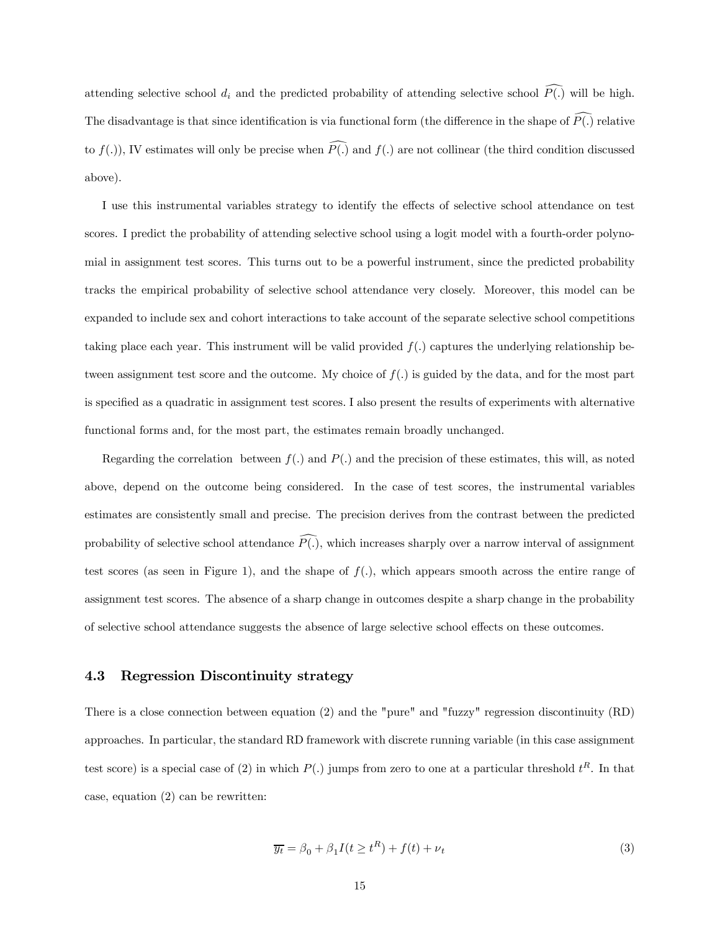attending selective school  $d_i$  and the predicted probability of attending selective school  $P(.)$  will be high. The disadvantage is that since identification is via functional form (the difference in the shape of  $P(.)$  relative to  $f(.)$ , IV estimates will only be precise when  $P(.)$  and  $f(.)$  are not collinear (the third condition discussed above).

I use this instrumental variables strategy to identify the effects of selective school attendance on test scores. I predict the probability of attending selective school using a logit model with a fourth-order polynomial in assignment test scores. This turns out to be a powerful instrument, since the predicted probability tracks the empirical probability of selective school attendance very closely. Moreover, this model can be expanded to include sex and cohort interactions to take account of the separate selective school competitions taking place each year. This instrument will be valid provided  $f(.)$  captures the underlying relationship between assignment test score and the outcome. My choice of  $f(.)$  is guided by the data, and for the most part is specified as a quadratic in assignment test scores. I also present the results of experiments with alternative functional forms and, for the most part, the estimates remain broadly unchanged.

Regarding the correlation between  $f(.)$  and  $P(.)$  and the precision of these estimates, this will, as noted above, depend on the outcome being considered. In the case of test scores, the instrumental variables estimates are consistently small and precise. The precision derives from the contrast between the predicted probability of selective school attendance  $P(.)$ , which increases sharply over a narrow interval of assignment test scores (as seen in Figure 1), and the shape of  $f(.)$ , which appears smooth across the entire range of assignment test scores. The absence of a sharp change in outcomes despite a sharp change in the probability of selective school attendance suggests the absence of large selective school effects on these outcomes.

#### 4.3 Regression Discontinuity strategy

There is a close connection between equation (2) and the "pure" and "fuzzy" regression discontinuity (RD) approaches. In particular, the standard RD framework with discrete running variable (in this case assignment test score) is a special case of (2) in which  $P(.)$  jumps from zero to one at a particular threshold  $t^R$ . In that case, equation (2) can be rewritten:

$$
\overline{y_t} = \beta_0 + \beta_1 I(t \ge t^R) + f(t) + \nu_t \tag{3}
$$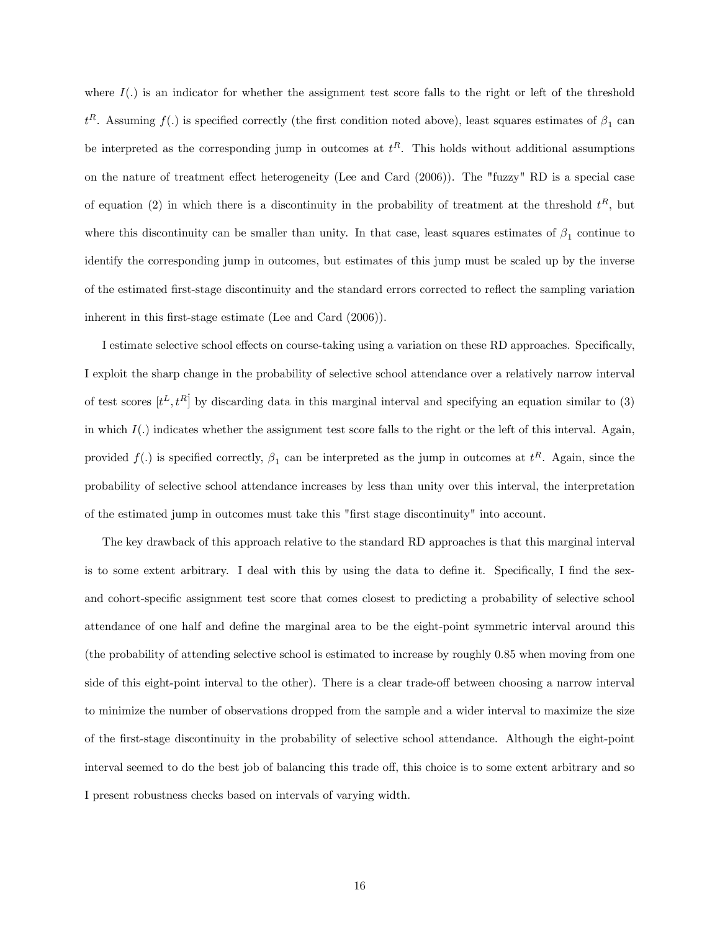where  $I(.)$  is an indicator for whether the assignment test score falls to the right or left of the threshold  $t^R$ . Assuming  $f(.)$  is specified correctly (the first condition noted above), least squares estimates of  $\beta_1$  can be interpreted as the corresponding jump in outcomes at  $t^R$ . This holds without additional assumptions on the nature of treatment effect heterogeneity (Lee and Card (2006)). The "fuzzy" RD is a special case of equation (2) in which there is a discontinuity in the probability of treatment at the threshold  $t^R$ , but where this discontinuity can be smaller than unity. In that case, least squares estimates of  $\beta_1$  continue to identify the corresponding jump in outcomes, but estimates of this jump must be scaled up by the inverse of the estimated first-stage discontinuity and the standard errors corrected to reflect the sampling variation inherent in this first-stage estimate (Lee and Card (2006)).

I estimate selective school effects on course-taking using a variation on these RD approaches. Specifically, I exploit the sharp change in the probability of selective school attendance over a relatively narrow interval of test scores  $[t^L, t^R]$  by discarding data in this marginal interval and specifying an equation similar to (3) in which  $I(.)$  indicates whether the assignment test score falls to the right or the left of this interval. Again, provided  $f(.)$  is specified correctly,  $\beta_1$  can be interpreted as the jump in outcomes at  $t^R$ . Again, since the probability of selective school attendance increases by less than unity over this interval, the interpretation of the estimated jump in outcomes must take this "first stage discontinuity" into account.

The key drawback of this approach relative to the standard RD approaches is that this marginal interval is to some extent arbitrary. I deal with this by using the data to define it. Specifically, I find the sexand cohort-specific assignment test score that comes closest to predicting a probability of selective school attendance of one half and define the marginal area to be the eight-point symmetric interval around this (the probability of attending selective school is estimated to increase by roughly 0.85 when moving from one side of this eight-point interval to the other). There is a clear trade-off between choosing a narrow interval to minimize the number of observations dropped from the sample and a wider interval to maximize the size of the first-stage discontinuity in the probability of selective school attendance. Although the eight-point interval seemed to do the best job of balancing this trade off, this choice is to some extent arbitrary and so I present robustness checks based on intervals of varying width.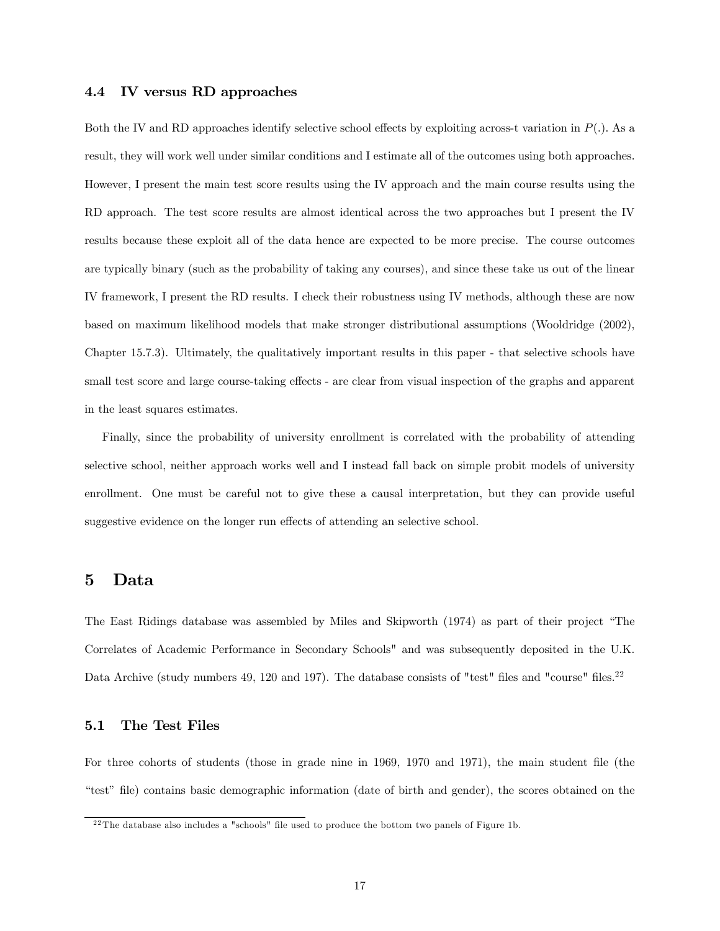#### 4.4 IV versus RD approaches

Both the IV and RD approaches identify selective school effects by exploiting across-t variation in  $P(.)$ . As a result, they will work well under similar conditions and I estimate all of the outcomes using both approaches. However, I present the main test score results using the IV approach and the main course results using the RD approach. The test score results are almost identical across the two approaches but I present the IV results because these exploit all of the data hence are expected to be more precise. The course outcomes are typically binary (such as the probability of taking any courses), and since these take us out of the linear IV framework, I present the RD results. I check their robustness using IV methods, although these are now based on maximum likelihood models that make stronger distributional assumptions (Wooldridge (2002), Chapter 15.7.3). Ultimately, the qualitatively important results in this paper - that selective schools have small test score and large course-taking effects - are clear from visual inspection of the graphs and apparent in the least squares estimates.

Finally, since the probability of university enrollment is correlated with the probability of attending selective school, neither approach works well and I instead fall back on simple probit models of university enrollment. One must be careful not to give these a causal interpretation, but they can provide useful suggestive evidence on the longer run effects of attending an selective school.

#### 5 Data

The East Ridings database was assembled by Miles and Skipworth (1974) as part of their project "The Correlates of Academic Performance in Secondary Schools" and was subsequently deposited in the U.K. Data Archive (study numbers 49, 120 and 197). The database consists of "test" files and "course" files.<sup>22</sup>

#### 5.1 The Test Files

For three cohorts of students (those in grade nine in 1969, 1970 and 1971), the main student file (the "test" file) contains basic demographic information (date of birth and gender), the scores obtained on the

 $22$ The database also includes a "schools" file used to produce the bottom two panels of Figure 1b.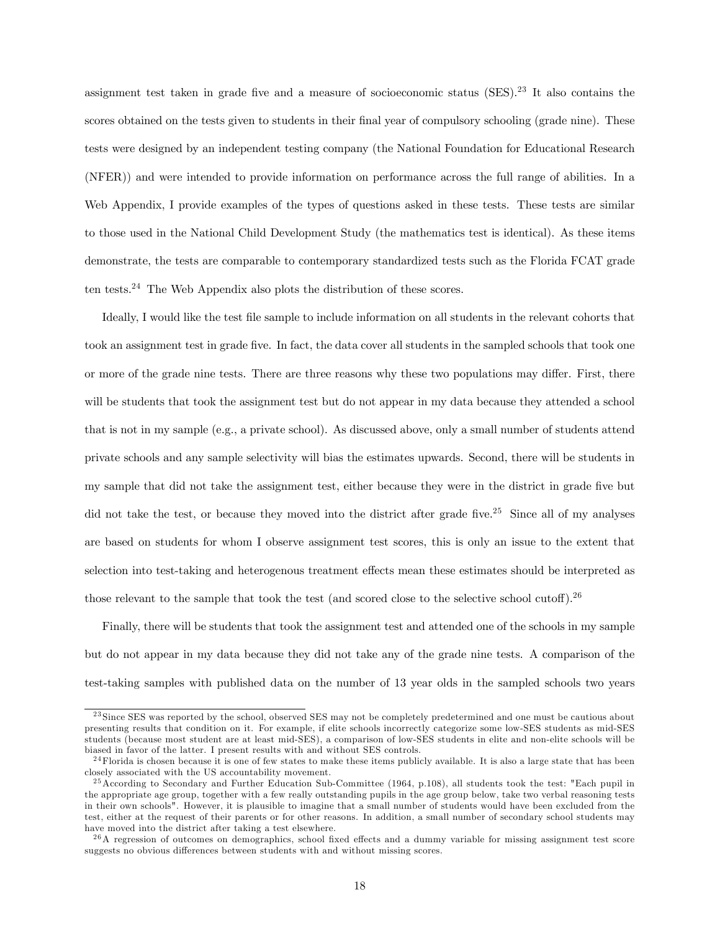assignment test taken in grade five and a measure of socioeconomic status  $(SES).^{23}$  It also contains the scores obtained on the tests given to students in their final year of compulsory schooling (grade nine). These tests were designed by an independent testing company (the National Foundation for Educational Research (NFER)) and were intended to provide information on performance across the full range of abilities. In a Web Appendix, I provide examples of the types of questions asked in these tests. These tests are similar to those used in the National Child Development Study (the mathematics test is identical). As these items demonstrate, the tests are comparable to contemporary standardized tests such as the Florida FCAT grade ten tests.24 The Web Appendix also plots the distribution of these scores.

Ideally, I would like the test file sample to include information on all students in the relevant cohorts that took an assignment test in grade five. In fact, the data cover all students in the sampled schools that took one or more of the grade nine tests. There are three reasons why these two populations may differ. First, there will be students that took the assignment test but do not appear in my data because they attended a school that is not in my sample (e.g., a private school). As discussed above, only a small number of students attend private schools and any sample selectivity will bias the estimates upwards. Second, there will be students in my sample that did not take the assignment test, either because they were in the district in grade five but did not take the test, or because they moved into the district after grade five.<sup>25</sup> Since all of my analyses are based on students for whom I observe assignment test scores, this is only an issue to the extent that selection into test-taking and heterogenous treatment effects mean these estimates should be interpreted as those relevant to the sample that took the test (and scored close to the selective school cutoff).<sup>26</sup>

Finally, there will be students that took the assignment test and attended one of the schools in my sample but do not appear in my data because they did not take any of the grade nine tests. A comparison of the test-taking samples with published data on the number of 13 year olds in the sampled schools two years

<sup>&</sup>lt;sup>23</sup> Since SES was reported by the school, observed SES may not be completely predetermined and one must be cautious about presenting results that condition on it. For example, if elite schools incorrectly categorize some low-SES students as mid-SES students (because most student are at least mid-SES), a comparison of low-SES students in elite and non-elite schools will be biased in favor of the latter. I present results with and without SES controls.

 $24$  Florida is chosen because it is one of few states to make these items publicly available. It is also a large state that has been closely associated with the US accountability movement.

 $^{25}$  According to Secondary and Further Education Sub-Committee (1964, p.108), all students took the test: "Each pupil in the appropriate age group, together with a few really outstanding pupils in the age group below, take two verbal reasoning tests in their own schools". However, it is plausible to imagine that a small number of students would have been excluded from the test, either at the request of their parents or for other reasons. In addition, a small number of secondary school students may have moved into the district after taking a test elsewhere.

 $^{26}$ A regression of outcomes on demographics, school fixed effects and a dummy variable for missing assignment test score suggests no obvious differences between students with and without missing scores.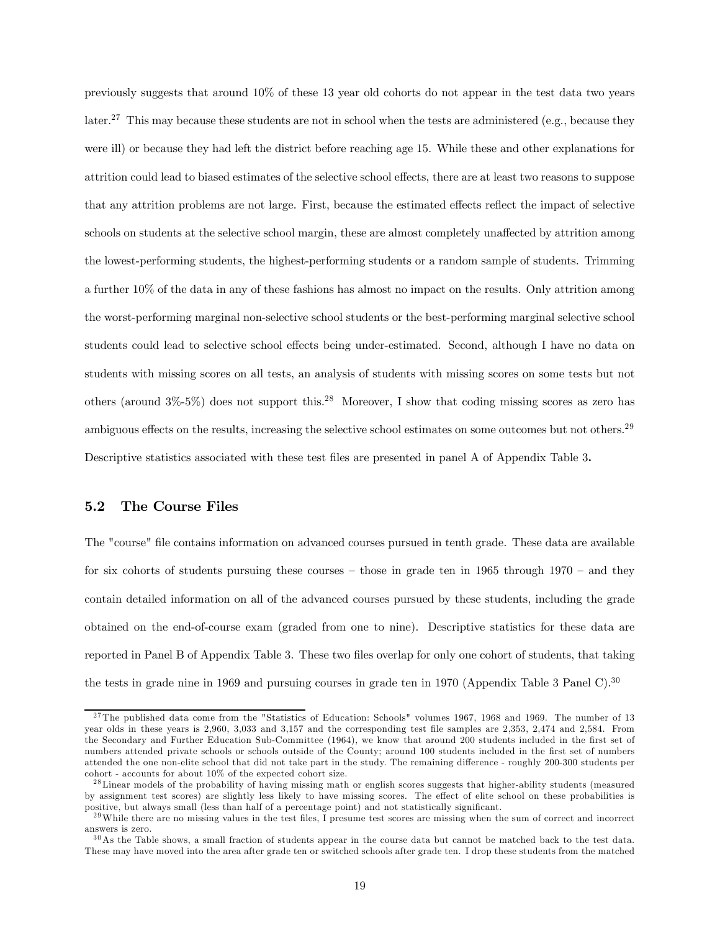previously suggests that around 10% of these 13 year old cohorts do not appear in the test data two years later.<sup>27</sup> This may because these students are not in school when the tests are administered (e.g., because they were ill) or because they had left the district before reaching age 15. While these and other explanations for attrition could lead to biased estimates of the selective school effects, there are at least two reasons to suppose that any attrition problems are not large. First, because the estimated effects reflect the impact of selective schools on students at the selective school margin, these are almost completely unaffected by attrition among the lowest-performing students, the highest-performing students or a random sample of students. Trimming a further 10% of the data in any of these fashions has almost no impact on the results. Only attrition among the worst-performing marginal non-selective school students or the best-performing marginal selective school students could lead to selective school effects being under-estimated. Second, although I have no data on students with missing scores on all tests, an analysis of students with missing scores on some tests but not others (around  $3\% - 5\%$ ) does not support this.<sup>28</sup> Moreover, I show that coding missing scores as zero has ambiguous effects on the results, increasing the selective school estimates on some outcomes but not others.29 Descriptive statistics associated with these test files are presented in panel A of Appendix Table 3.

#### 5.2 The Course Files

The "course" file contains information on advanced courses pursued in tenth grade. These data are available for six cohorts of students pursuing these courses  $-$  those in grade ten in 1965 through 1970  $-$  and they contain detailed information on all of the advanced courses pursued by these students, including the grade obtained on the end-of-course exam (graded from one to nine). Descriptive statistics for these data are reported in Panel B of Appendix Table 3. These two files overlap for only one cohort of students, that taking the tests in grade nine in 1969 and pursuing courses in grade ten in 1970 (Appendix Table 3 Panel C).<sup>30</sup>

 $27$ The published data come from the "Statistics of Education: Schools" volumes 1967, 1968 and 1969. The number of 13 year olds in these years is 2,960, 3,033 and 3,157 and the corresponding test file samples are 2,353, 2,474 and 2,584. From the Secondary and Further Education Sub-Committee (1964), we know that around 200 students included in the first set of numbers attended private schools or schools outside of the County; around 100 students included in the first set of numbers attended the one non-elite school that did not take part in the study. The remaining difference - roughly 200-300 students per cohort - accounts for about 10% of the expected cohort size.

<sup>&</sup>lt;sup>28</sup> Linear models of the probability of having missing math or english scores suggests that higher-ability students (measured by assignment test scores) are slightly less likely to have missing scores. The effect of elite school on these probabilities is positive, but always small (less than half of a percentage point) and not statistically significant.

 $29$ While there are no missing values in the test files, I presume test scores are missing when the sum of correct and incorrect answers is zero.

<sup>3 0</sup>As the Table shows, a small fraction of students appear in the course data but cannot be matched back to the test data. These may have moved into the area after grade ten or switched schools after grade ten. I drop these students from the matched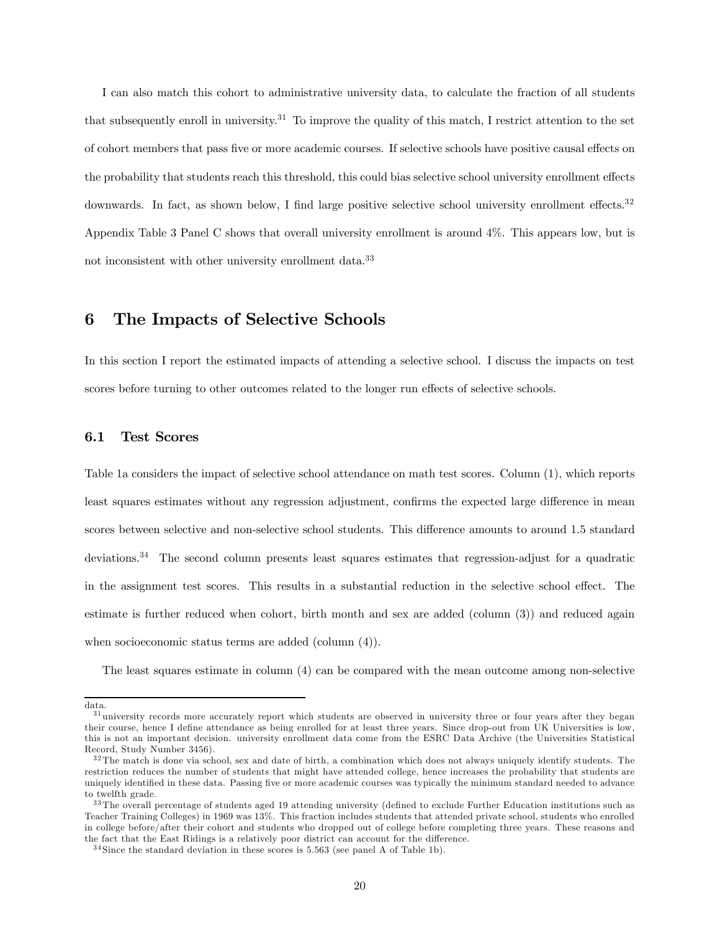I can also match this cohort to administrative university data, to calculate the fraction of all students that subsequently enroll in university.<sup>31</sup> To improve the quality of this match, I restrict attention to the set of cohort members that pass five or more academic courses. If selective schools have positive causal effects on the probability that students reach this threshold, this could bias selective school university enrollment effects downwards. In fact, as shown below, I find large positive selective school university enrollment effects.<sup>32</sup> Appendix Table 3 Panel C shows that overall university enrollment is around 4%. This appears low, but is not inconsistent with other university enrollment data.33

#### 6 The Impacts of Selective Schools

In this section I report the estimated impacts of attending a selective school. I discuss the impacts on test scores before turning to other outcomes related to the longer run effects of selective schools.

#### 6.1 Test Scores

Table 1a considers the impact of selective school attendance on math test scores. Column (1), which reports least squares estimates without any regression adjustment, confirms the expected large difference in mean scores between selective and non-selective school students. This difference amounts to around 1.5 standard deviations.34 The second column presents least squares estimates that regression-adjust for a quadratic in the assignment test scores. This results in a substantial reduction in the selective school effect. The estimate is further reduced when cohort, birth month and sex are added (column (3)) and reduced again when socioeconomic status terms are added (column (4)).

The least squares estimate in column (4) can be compared with the mean outcome among non-selective

data.

 $31$  university records more accurately report which students are observed in university three or four years after they began their course, hence I define attendance as being enrolled for at least three years. Since drop-out from UK Universities is low, this is not an important decision. university enrollment data come from the ESRC Data Archive (the Universities Statistical Record, Study Number 3456).

 $32$ The match is done via school, sex and date of birth, a combination which does not always uniquely identify students. The restriction reduces the number of students that might have attended college, hence increases the probability that students are uniquely identified in these data. Passing five or more academic courses was typically the minimum standard needed to advance to twelfth grade.

<sup>&</sup>lt;sup>33</sup>The overall percentage of students aged 19 attending university (defined to exclude Further Education institutions such as Teacher Training Colleges) in 1969 was 13%. This fraction includes students that attended private school, students who enrolled in college before/after their cohort and students who dropped out of college before completing three years. These reasons and the fact that the East Ridings is a relatively poor district can account for the difference.

<sup>3 4</sup> Since the standard deviation in these scores is 5.563 (see panel A of Table 1b).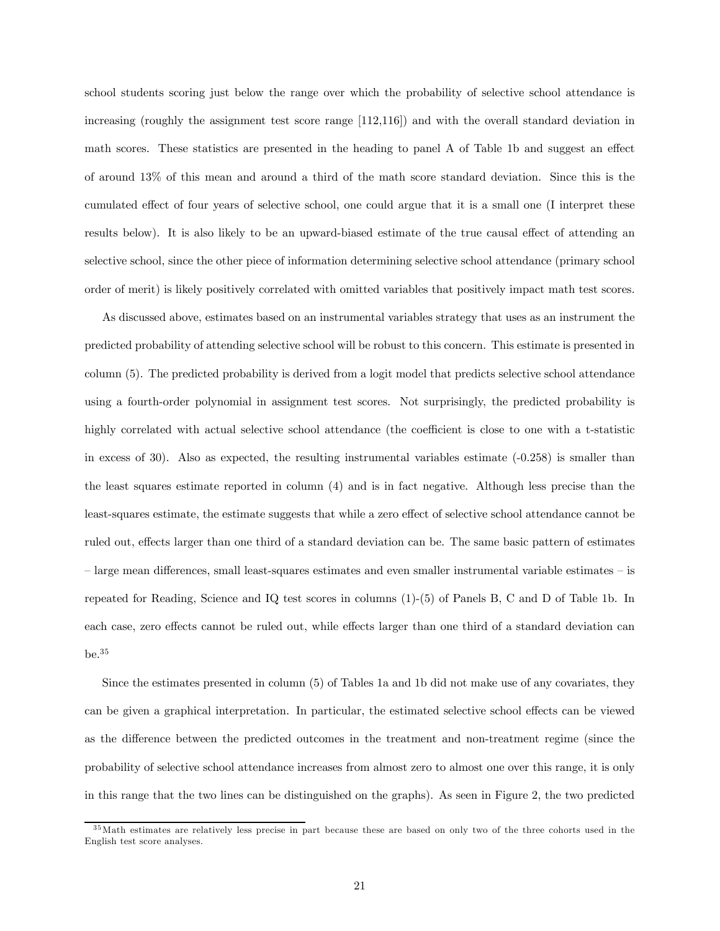school students scoring just below the range over which the probability of selective school attendance is increasing (roughly the assignment test score range [112,116]) and with the overall standard deviation in math scores. These statistics are presented in the heading to panel A of Table 1b and suggest an effect of around 13% of this mean and around a third of the math score standard deviation. Since this is the cumulated effect of four years of selective school, one could argue that it is a small one (I interpret these results below). It is also likely to be an upward-biased estimate of the true causal effect of attending an selective school, since the other piece of information determining selective school attendance (primary school order of merit) is likely positively correlated with omitted variables that positively impact math test scores.

As discussed above, estimates based on an instrumental variables strategy that uses as an instrument the predicted probability of attending selective school will be robust to this concern. This estimate is presented in column (5). The predicted probability is derived from a logit model that predicts selective school attendance using a fourth-order polynomial in assignment test scores. Not surprisingly, the predicted probability is highly correlated with actual selective school attendance (the coefficient is close to one with a t-statistic in excess of 30). Also as expected, the resulting instrumental variables estimate (-0.258) is smaller than the least squares estimate reported in column (4) and is in fact negative. Although less precise than the least-squares estimate, the estimate suggests that while a zero effect of selective school attendance cannot be ruled out, effects larger than one third of a standard deviation can be. The same basic pattern of estimates — large mean differences, small least-squares estimates and even smaller instrumental variable estimates — is repeated for Reading, Science and IQ test scores in columns (1)-(5) of Panels B, C and D of Table 1b. In each case, zero effects cannot be ruled out, while effects larger than one third of a standard deviation can be.35

Since the estimates presented in column (5) of Tables 1a and 1b did not make use of any covariates, they can be given a graphical interpretation. In particular, the estimated selective school effects can be viewed as the difference between the predicted outcomes in the treatment and non-treatment regime (since the probability of selective school attendance increases from almost zero to almost one over this range, it is only in this range that the two lines can be distinguished on the graphs). As seen in Figure 2, the two predicted

<sup>3 5</sup>Math estimates are relatively less precise in part because these are based on only two of the three cohorts used in the English test score analyses.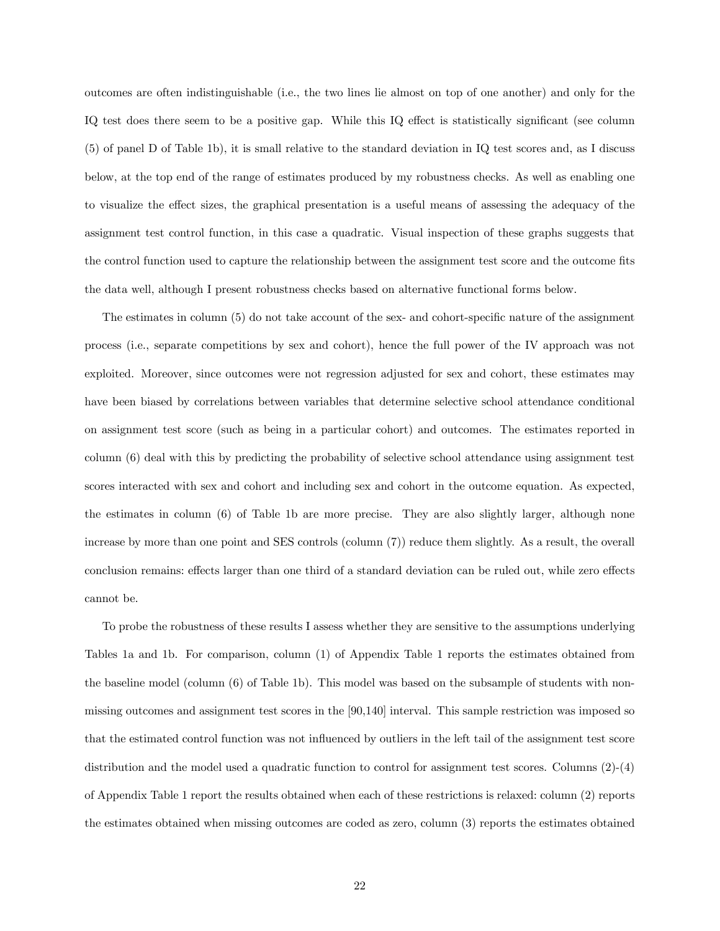outcomes are often indistinguishable (i.e., the two lines lie almost on top of one another) and only for the IQ test does there seem to be a positive gap. While this IQ effect is statistically significant (see column (5) of panel D of Table 1b), it is small relative to the standard deviation in IQ test scores and, as I discuss below, at the top end of the range of estimates produced by my robustness checks. As well as enabling one to visualize the effect sizes, the graphical presentation is a useful means of assessing the adequacy of the assignment test control function, in this case a quadratic. Visual inspection of these graphs suggests that the control function used to capture the relationship between the assignment test score and the outcome fits the data well, although I present robustness checks based on alternative functional forms below.

The estimates in column (5) do not take account of the sex- and cohort-specific nature of the assignment process (i.e., separate competitions by sex and cohort), hence the full power of the IV approach was not exploited. Moreover, since outcomes were not regression adjusted for sex and cohort, these estimates may have been biased by correlations between variables that determine selective school attendance conditional on assignment test score (such as being in a particular cohort) and outcomes. The estimates reported in column (6) deal with this by predicting the probability of selective school attendance using assignment test scores interacted with sex and cohort and including sex and cohort in the outcome equation. As expected, the estimates in column (6) of Table 1b are more precise. They are also slightly larger, although none increase by more than one point and SES controls (column (7)) reduce them slightly. As a result, the overall conclusion remains: effects larger than one third of a standard deviation can be ruled out, while zero effects cannot be.

To probe the robustness of these results I assess whether they are sensitive to the assumptions underlying Tables 1a and 1b. For comparison, column (1) of Appendix Table 1 reports the estimates obtained from the baseline model (column (6) of Table 1b). This model was based on the subsample of students with nonmissing outcomes and assignment test scores in the [90,140] interval. This sample restriction was imposed so that the estimated control function was not influenced by outliers in the left tail of the assignment test score distribution and the model used a quadratic function to control for assignment test scores. Columns (2)-(4) of Appendix Table 1 report the results obtained when each of these restrictions is relaxed: column (2) reports the estimates obtained when missing outcomes are coded as zero, column (3) reports the estimates obtained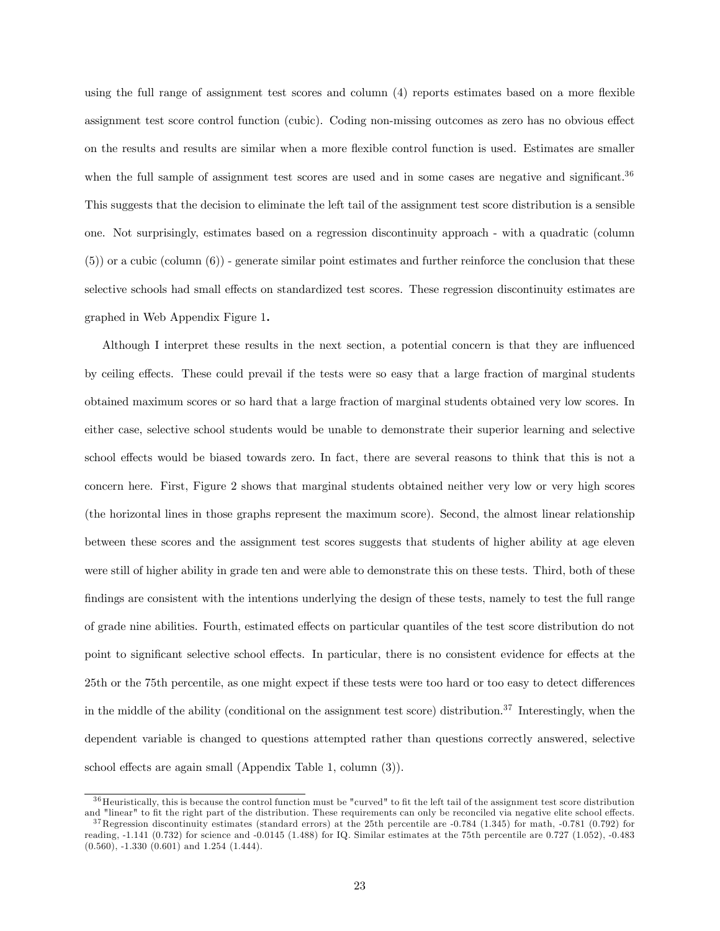using the full range of assignment test scores and column (4) reports estimates based on a more flexible assignment test score control function (cubic). Coding non-missing outcomes as zero has no obvious effect on the results and results are similar when a more flexible control function is used. Estimates are smaller when the full sample of assignment test scores are used and in some cases are negative and significant.<sup>36</sup> This suggests that the decision to eliminate the left tail of the assignment test score distribution is a sensible one. Not surprisingly, estimates based on a regression discontinuity approach - with a quadratic (column (5)) or a cubic (column (6)) - generate similar point estimates and further reinforce the conclusion that these selective schools had small effects on standardized test scores. These regression discontinuity estimates are graphed in Web Appendix Figure 1.

Although I interpret these results in the next section, a potential concern is that they are influenced by ceiling effects. These could prevail if the tests were so easy that a large fraction of marginal students obtained maximum scores or so hard that a large fraction of marginal students obtained very low scores. In either case, selective school students would be unable to demonstrate their superior learning and selective school effects would be biased towards zero. In fact, there are several reasons to think that this is not a concern here. First, Figure 2 shows that marginal students obtained neither very low or very high scores (the horizontal lines in those graphs represent the maximum score). Second, the almost linear relationship between these scores and the assignment test scores suggests that students of higher ability at age eleven were still of higher ability in grade ten and were able to demonstrate this on these tests. Third, both of these findings are consistent with the intentions underlying the design of these tests, namely to test the full range of grade nine abilities. Fourth, estimated effects on particular quantiles of the test score distribution do not point to significant selective school effects. In particular, there is no consistent evidence for effects at the 25th or the 75th percentile, as one might expect if these tests were too hard or too easy to detect differences in the middle of the ability (conditional on the assignment test score) distribution.<sup>37</sup> Interestingly, when the dependent variable is changed to questions attempted rather than questions correctly answered, selective school effects are again small (Appendix Table 1, column (3)).

 $36$  Heuristically, this is because the control function must be "curved" to fit the left tail of the assignment test score distribution and "linear" to fit the right part of the distribution. These requirements can only be reconciled via negative elite school effects.

 $37$ Regression discontinuity estimates (standard errors) at the 25th percentile are  $-0.784$  (1.345) for math,  $-0.781$  (0.792) for reading, -1.141 (0.732) for science and -0.0145 (1.488) for IQ. Similar estimates at the 75th percentile are 0.727 (1.052), -0.483 (0.560), -1.330 (0.601) and 1.254 (1.444).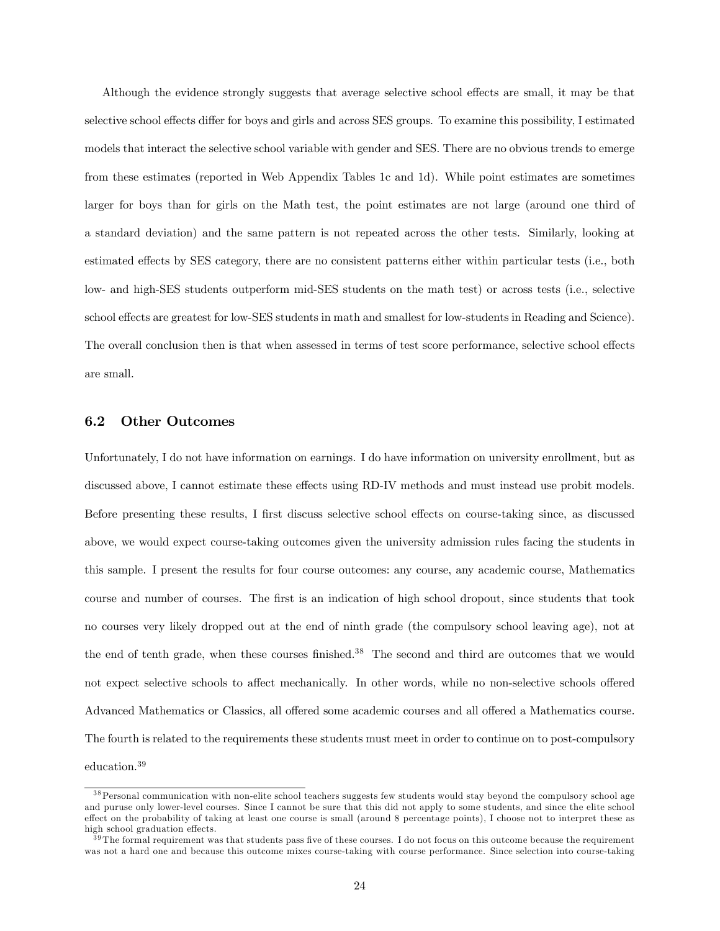Although the evidence strongly suggests that average selective school effects are small, it may be that selective school effects differ for boys and girls and across SES groups. To examine this possibility, I estimated models that interact the selective school variable with gender and SES. There are no obvious trends to emerge from these estimates (reported in Web Appendix Tables 1c and 1d). While point estimates are sometimes larger for boys than for girls on the Math test, the point estimates are not large (around one third of a standard deviation) and the same pattern is not repeated across the other tests. Similarly, looking at estimated effects by SES category, there are no consistent patterns either within particular tests (i.e., both low- and high-SES students outperform mid-SES students on the math test) or across tests (i.e., selective school effects are greatest for low-SES students in math and smallest for low-students in Reading and Science). The overall conclusion then is that when assessed in terms of test score performance, selective school effects are small.

#### 6.2 Other Outcomes

Unfortunately, I do not have information on earnings. I do have information on university enrollment, but as discussed above, I cannot estimate these effects using RD-IV methods and must instead use probit models. Before presenting these results, I first discuss selective school effects on course-taking since, as discussed above, we would expect course-taking outcomes given the university admission rules facing the students in this sample. I present the results for four course outcomes: any course, any academic course, Mathematics course and number of courses. The first is an indication of high school dropout, since students that took no courses very likely dropped out at the end of ninth grade (the compulsory school leaving age), not at the end of tenth grade, when these courses finished.<sup>38</sup> The second and third are outcomes that we would not expect selective schools to affect mechanically. In other words, while no non-selective schools offered Advanced Mathematics or Classics, all offered some academic courses and all offered a Mathematics course. The fourth is related to the requirements these students must meet in order to continue on to post-compulsory education.39

<sup>3 8</sup>Personal communication with non-elite school teachers suggests few students would stay beyond the compulsory school age and puruse only lower-level courses. Since I cannot be sure that this did not apply to some students, and since the elite school effect on the probability of taking at least one course is small (around 8 percentage points), I choose not to interpret these as high school graduation effects.

 $39$ The formal requirement was that students pass five of these courses. I do not focus on this outcome because the requirement was not a hard one and because this outcome mixes course-taking with course performance. Since selection into course-taking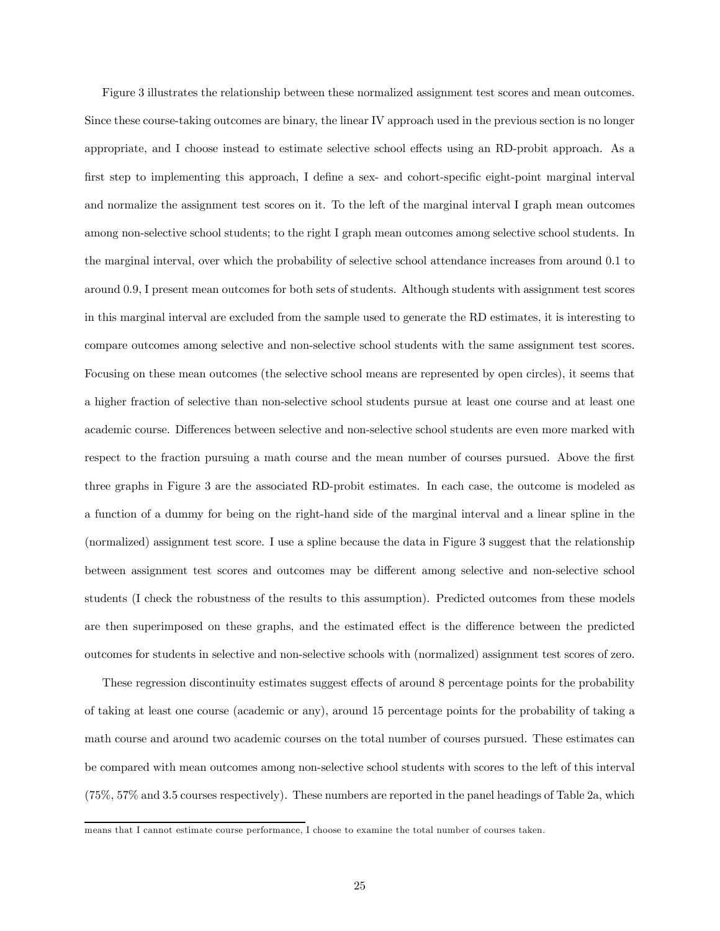Figure 3 illustrates the relationship between these normalized assignment test scores and mean outcomes. Since these course-taking outcomes are binary, the linear IV approach used in the previous section is no longer appropriate, and I choose instead to estimate selective school effects using an RD-probit approach. As a first step to implementing this approach, I define a sex- and cohort-specific eight-point marginal interval and normalize the assignment test scores on it. To the left of the marginal interval I graph mean outcomes among non-selective school students; to the right I graph mean outcomes among selective school students. In the marginal interval, over which the probability of selective school attendance increases from around 0.1 to around 0.9, I present mean outcomes for both sets of students. Although students with assignment test scores in this marginal interval are excluded from the sample used to generate the RD estimates, it is interesting to compare outcomes among selective and non-selective school students with the same assignment test scores. Focusing on these mean outcomes (the selective school means are represented by open circles), it seems that a higher fraction of selective than non-selective school students pursue at least one course and at least one academic course. Differences between selective and non-selective school students are even more marked with respect to the fraction pursuing a math course and the mean number of courses pursued. Above the first three graphs in Figure 3 are the associated RD-probit estimates. In each case, the outcome is modeled as a function of a dummy for being on the right-hand side of the marginal interval and a linear spline in the (normalized) assignment test score. I use a spline because the data in Figure 3 suggest that the relationship between assignment test scores and outcomes may be different among selective and non-selective school students (I check the robustness of the results to this assumption). Predicted outcomes from these models are then superimposed on these graphs, and the estimated effect is the difference between the predicted outcomes for students in selective and non-selective schools with (normalized) assignment test scores of zero.

These regression discontinuity estimates suggest effects of around 8 percentage points for the probability of taking at least one course (academic or any), around 15 percentage points for the probability of taking a math course and around two academic courses on the total number of courses pursued. These estimates can be compared with mean outcomes among non-selective school students with scores to the left of this interval (75%, 57% and 3.5 courses respectively). These numbers are reported in the panel headings of Table 2a, which

means that I cannot estimate course performance, I choose to examine the total number of courses taken.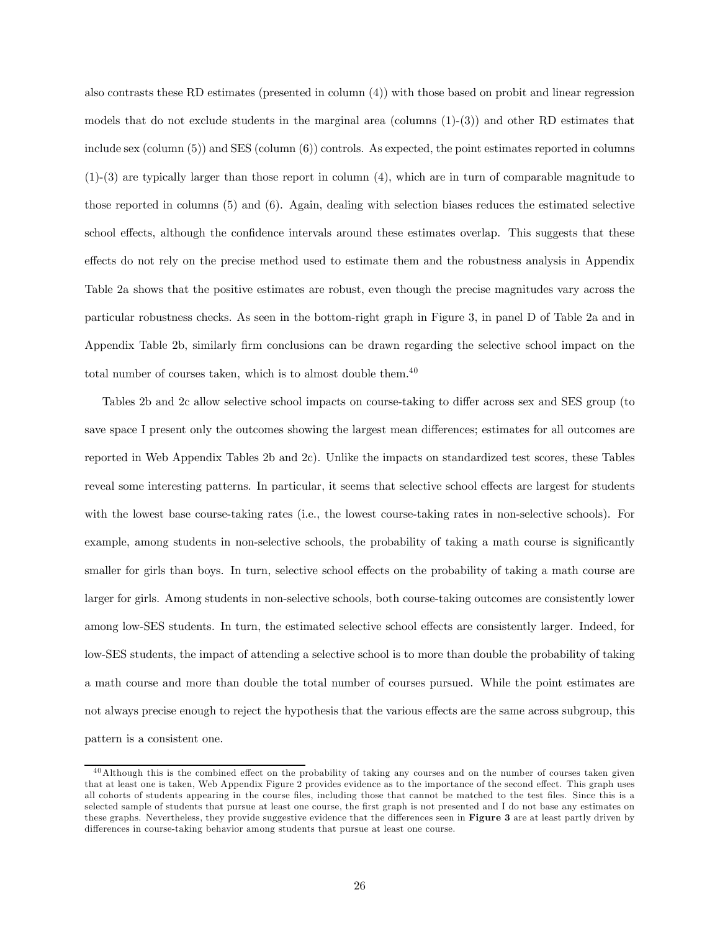also contrasts these RD estimates (presented in column (4)) with those based on probit and linear regression models that do not exclude students in the marginal area (columns  $(1)-(3)$ ) and other RD estimates that include sex (column (5)) and SES (column (6)) controls. As expected, the point estimates reported in columns (1)-(3) are typically larger than those report in column (4), which are in turn of comparable magnitude to those reported in columns (5) and (6). Again, dealing with selection biases reduces the estimated selective school effects, although the confidence intervals around these estimates overlap. This suggests that these effects do not rely on the precise method used to estimate them and the robustness analysis in Appendix Table 2a shows that the positive estimates are robust, even though the precise magnitudes vary across the particular robustness checks. As seen in the bottom-right graph in Figure 3, in panel D of Table 2a and in Appendix Table 2b, similarly firm conclusions can be drawn regarding the selective school impact on the total number of courses taken, which is to almost double them.<sup>40</sup>

Tables 2b and 2c allow selective school impacts on course-taking to differ across sex and SES group (to save space I present only the outcomes showing the largest mean differences; estimates for all outcomes are reported in Web Appendix Tables 2b and 2c). Unlike the impacts on standardized test scores, these Tables reveal some interesting patterns. In particular, it seems that selective school effects are largest for students with the lowest base course-taking rates (i.e., the lowest course-taking rates in non-selective schools). For example, among students in non-selective schools, the probability of taking a math course is significantly smaller for girls than boys. In turn, selective school effects on the probability of taking a math course are larger for girls. Among students in non-selective schools, both course-taking outcomes are consistently lower among low-SES students. In turn, the estimated selective school effects are consistently larger. Indeed, for low-SES students, the impact of attending a selective school is to more than double the probability of taking a math course and more than double the total number of courses pursued. While the point estimates are not always precise enough to reject the hypothesis that the various effects are the same across subgroup, this pattern is a consistent one.

<sup>4 0</sup>Although this is the combined effect on the probability of taking any courses and on the number of courses taken given that at least one is taken, Web Appendix Figure 2 provides evidence as to the importance of the second effect. This graph uses all cohorts of students appearing in the course files, including those that cannot be matched to the test files. Since this is a selected sample of students that pursue at least one course, the first graph is not presented and I do not base any estimates on these graphs. Nevertheless, they provide suggestive evidence that the differences seen in Figure 3 are at least partly driven by differences in course-taking behavior among students that pursue at least one course.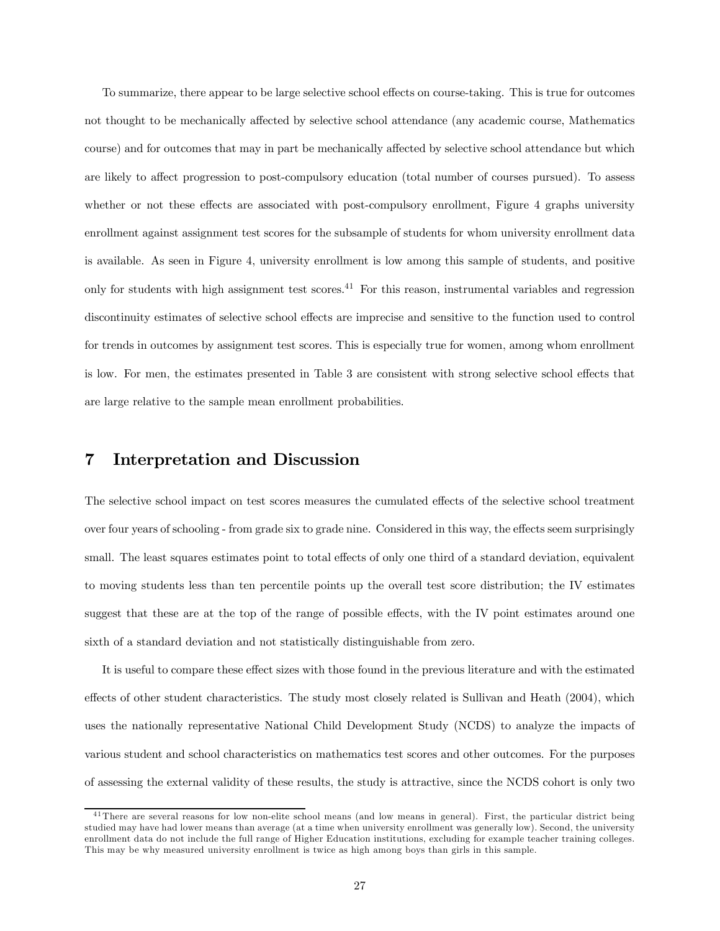To summarize, there appear to be large selective school effects on course-taking. This is true for outcomes not thought to be mechanically affected by selective school attendance (any academic course, Mathematics course) and for outcomes that may in part be mechanically affected by selective school attendance but which are likely to affect progression to post-compulsory education (total number of courses pursued). To assess whether or not these effects are associated with post-compulsory enrollment, Figure 4 graphs university enrollment against assignment test scores for the subsample of students for whom university enrollment data is available. As seen in Figure 4, university enrollment is low among this sample of students, and positive only for students with high assignment test scores.41 For this reason, instrumental variables and regression discontinuity estimates of selective school effects are imprecise and sensitive to the function used to control for trends in outcomes by assignment test scores. This is especially true for women, among whom enrollment is low. For men, the estimates presented in Table 3 are consistent with strong selective school effects that are large relative to the sample mean enrollment probabilities.

#### 7 Interpretation and Discussion

The selective school impact on test scores measures the cumulated effects of the selective school treatment over four years of schooling - from grade six to grade nine. Considered in this way, the effects seem surprisingly small. The least squares estimates point to total effects of only one third of a standard deviation, equivalent to moving students less than ten percentile points up the overall test score distribution; the IV estimates suggest that these are at the top of the range of possible effects, with the IV point estimates around one sixth of a standard deviation and not statistically distinguishable from zero.

It is useful to compare these effect sizes with those found in the previous literature and with the estimated effects of other student characteristics. The study most closely related is Sullivan and Heath (2004), which uses the nationally representative National Child Development Study (NCDS) to analyze the impacts of various student and school characteristics on mathematics test scores and other outcomes. For the purposes of assessing the external validity of these results, the study is attractive, since the NCDS cohort is only two

<sup>&</sup>lt;sup>41</sup>There are several reasons for low non-elite school means (and low means in general). First, the particular district being studied may have had lower means than average (at a time when university enrollment was generally low). Second, the university enrollment data do not include the full range of Higher Education institutions, excluding for example teacher training colleges. This may be why measured university enrollment is twice as high among boys than girls in this sample.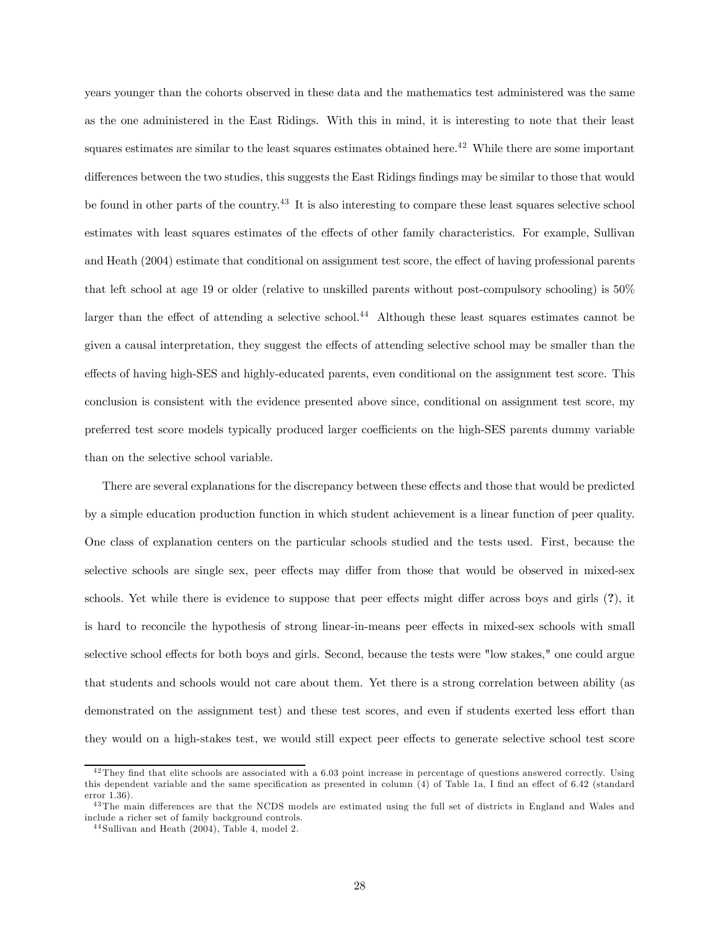years younger than the cohorts observed in these data and the mathematics test administered was the same as the one administered in the East Ridings. With this in mind, it is interesting to note that their least squares estimates are similar to the least squares estimates obtained here.<sup>42</sup> While there are some important differences between the two studies, this suggests the East Ridings findings may be similar to those that would be found in other parts of the country.<sup>43</sup> It is also interesting to compare these least squares selective school estimates with least squares estimates of the effects of other family characteristics. For example, Sullivan and Heath (2004) estimate that conditional on assignment test score, the effect of having professional parents that left school at age 19 or older (relative to unskilled parents without post-compulsory schooling) is 50% larger than the effect of attending a selective school.<sup>44</sup> Although these least squares estimates cannot be given a causal interpretation, they suggest the effects of attending selective school may be smaller than the effects of having high-SES and highly-educated parents, even conditional on the assignment test score. This conclusion is consistent with the evidence presented above since, conditional on assignment test score, my preferred test score models typically produced larger coefficients on the high-SES parents dummy variable than on the selective school variable.

There are several explanations for the discrepancy between these effects and those that would be predicted by a simple education production function in which student achievement is a linear function of peer quality. One class of explanation centers on the particular schools studied and the tests used. First, because the selective schools are single sex, peer effects may differ from those that would be observed in mixed-sex schools. Yet while there is evidence to suppose that peer effects might differ across boys and girls (?), it is hard to reconcile the hypothesis of strong linear-in-means peer effects in mixed-sex schools with small selective school effects for both boys and girls. Second, because the tests were "low stakes," one could argue that students and schools would not care about them. Yet there is a strong correlation between ability (as demonstrated on the assignment test) and these test scores, and even if students exerted less effort than they would on a high-stakes test, we would still expect peer effects to generate selective school test score

 $^{42}$ They find that elite schools are associated with a 6.03 point increase in percentage of questions answered correctly. Using this dependent variable and the same specification as presented in column (4) of Table 1a, I find an effect of 6.42 (standard error 1.36).

<sup>&</sup>lt;sup>43</sup>The main differences are that the NCDS models are estimated using the full set of districts in England and Wales and include a richer set of family background controls.

<sup>4 4</sup> Sullivan and Heath (2004), Table 4, model 2.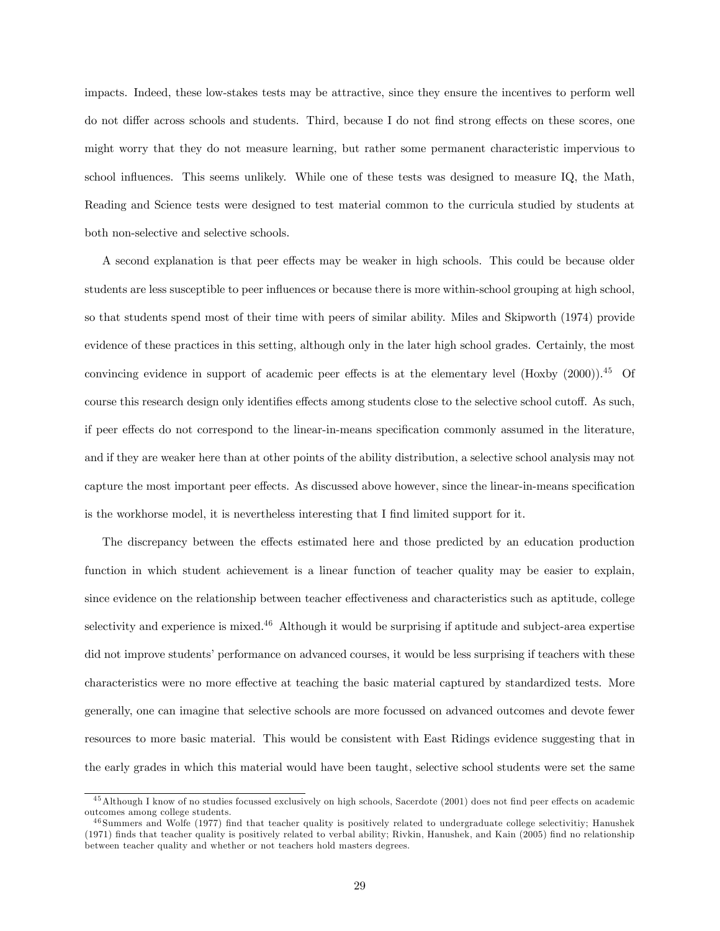impacts. Indeed, these low-stakes tests may be attractive, since they ensure the incentives to perform well do not differ across schools and students. Third, because I do not find strong effects on these scores, one might worry that they do not measure learning, but rather some permanent characteristic impervious to school influences. This seems unlikely. While one of these tests was designed to measure IQ, the Math, Reading and Science tests were designed to test material common to the curricula studied by students at both non-selective and selective schools.

A second explanation is that peer effects may be weaker in high schools. This could be because older students are less susceptible to peer influences or because there is more within-school grouping at high school, so that students spend most of their time with peers of similar ability. Miles and Skipworth (1974) provide evidence of these practices in this setting, although only in the later high school grades. Certainly, the most convincing evidence in support of academic peer effects is at the elementary level (Hoxby (2000)).<sup>45</sup> Of course this research design only identifies effects among students close to the selective school cutoff. As such, if peer effects do not correspond to the linear-in-means specification commonly assumed in the literature, and if they are weaker here than at other points of the ability distribution, a selective school analysis may not capture the most important peer effects. As discussed above however, since the linear-in-means specification is the workhorse model, it is nevertheless interesting that I find limited support for it.

The discrepancy between the effects estimated here and those predicted by an education production function in which student achievement is a linear function of teacher quality may be easier to explain, since evidence on the relationship between teacher effectiveness and characteristics such as aptitude, college selectivity and experience is mixed.<sup>46</sup> Although it would be surprising if aptitude and subject-area expertise did not improve students' performance on advanced courses, it would be less surprising if teachers with these characteristics were no more effective at teaching the basic material captured by standardized tests. More generally, one can imagine that selective schools are more focussed on advanced outcomes and devote fewer resources to more basic material. This would be consistent with East Ridings evidence suggesting that in the early grades in which this material would have been taught, selective school students were set the same

<sup>&</sup>lt;sup>45</sup> Although I know of no studies focussed exclusively on high schools, Sacerdote (2001) does not find peer effects on academic outcomes among college students.

 $^{46}$  Summers and Wolfe (1977) find that teacher quality is positively related to undergraduate college selectivitiy; Hanushek (1971) finds that teacher quality is positively related to verbal ability; Rivkin, Hanushek, and Kain (2005) find no relationship between teacher quality and whether or not teachers hold masters degrees.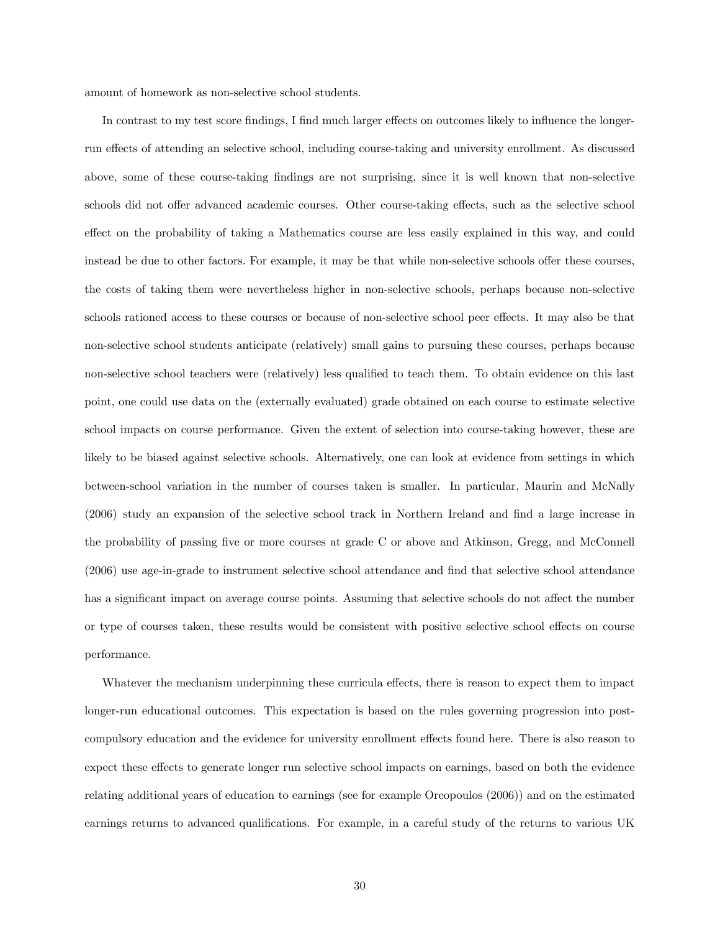amount of homework as non-selective school students.

In contrast to my test score findings, I find much larger effects on outcomes likely to influence the longerrun effects of attending an selective school, including course-taking and university enrollment. As discussed above, some of these course-taking findings are not surprising, since it is well known that non-selective schools did not offer advanced academic courses. Other course-taking effects, such as the selective school effect on the probability of taking a Mathematics course are less easily explained in this way, and could instead be due to other factors. For example, it may be that while non-selective schools offer these courses, the costs of taking them were nevertheless higher in non-selective schools, perhaps because non-selective schools rationed access to these courses or because of non-selective school peer effects. It may also be that non-selective school students anticipate (relatively) small gains to pursuing these courses, perhaps because non-selective school teachers were (relatively) less qualified to teach them. To obtain evidence on this last point, one could use data on the (externally evaluated) grade obtained on each course to estimate selective school impacts on course performance. Given the extent of selection into course-taking however, these are likely to be biased against selective schools. Alternatively, one can look at evidence from settings in which between-school variation in the number of courses taken is smaller. In particular, Maurin and McNally (2006) study an expansion of the selective school track in Northern Ireland and find a large increase in the probability of passing five or more courses at grade C or above and Atkinson, Gregg, and McConnell (2006) use age-in-grade to instrument selective school attendance and find that selective school attendance has a significant impact on average course points. Assuming that selective schools do not affect the number or type of courses taken, these results would be consistent with positive selective school effects on course performance.

Whatever the mechanism underpinning these curricula effects, there is reason to expect them to impact longer-run educational outcomes. This expectation is based on the rules governing progression into postcompulsory education and the evidence for university enrollment effects found here. There is also reason to expect these effects to generate longer run selective school impacts on earnings, based on both the evidence relating additional years of education to earnings (see for example Oreopoulos (2006)) and on the estimated earnings returns to advanced qualifications. For example, in a careful study of the returns to various UK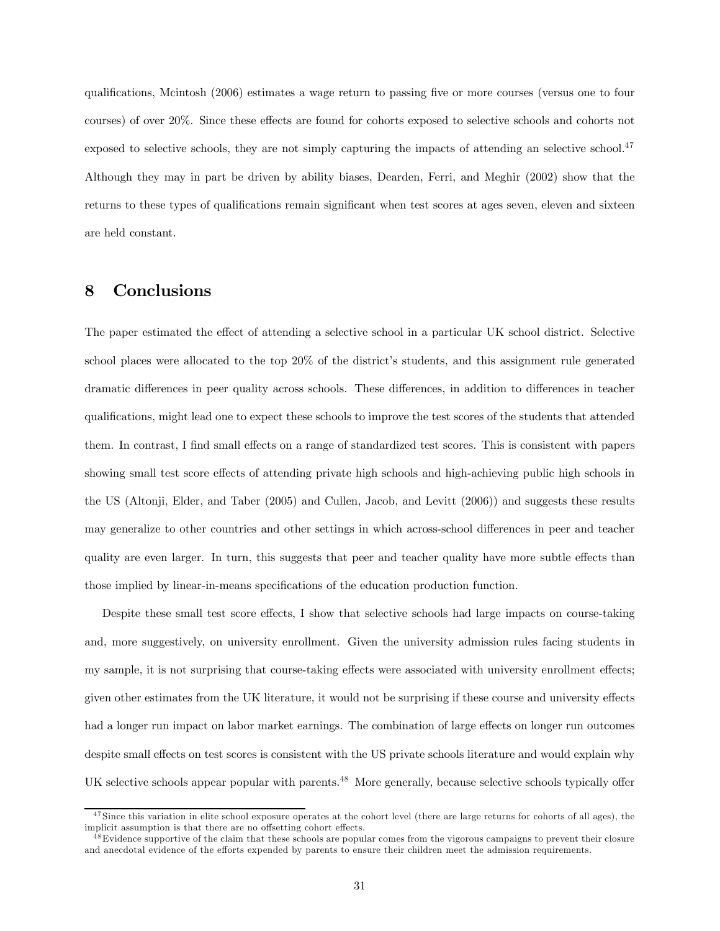qualifications, Mcintosh (2006) estimates a wage return to passing five or more courses (versus one to four courses) of over 20%. Since these effects are found for cohorts exposed to selective schools and cohorts not exposed to selective schools, they are not simply capturing the impacts of attending an selective school.<sup>47</sup> Although they may in part be driven by ability biases, Dearden, Ferri, and Meghir (2002) show that the returns to these types of qualifications remain significant when test scores at ages seven, eleven and sixteen are held constant.

#### 8 Conclusions

The paper estimated the effect of attending a selective school in a particular UK school district. Selective school places were allocated to the top 20% of the district's students, and this assignment rule generated dramatic differences in peer quality across schools. These differences, in addition to differences in teacher qualifications, might lead one to expect these schools to improve the test scores of the students that attended them. In contrast, I find small effects on a range of standardized test scores. This is consistent with papers showing small test score effects of attending private high schools and high-achieving public high schools in the US (Altonji, Elder, and Taber (2005) and Cullen, Jacob, and Levitt (2006)) and suggests these results may generalize to other countries and other settings in which across-school differences in peer and teacher quality are even larger. In turn, this suggests that peer and teacher quality have more subtle effects than those implied by linear-in-means specifications of the education production function.

Despite these small test score effects, I show that selective schools had large impacts on course-taking and, more suggestively, on university enrollment. Given the university admission rules facing students in my sample, it is not surprising that course-taking effects were associated with university enrollment effects; given other estimates from the UK literature, it would not be surprising if these course and university effects had a longer run impact on labor market earnings. The combination of large effects on longer run outcomes despite small effects on test scores is consistent with the US private schools literature and would explain why UK selective schools appear popular with parents.<sup>48</sup> More generally, because selective schools typically offer

 $47$  Since this variation in elite school exposure operates at the cohort level (there are large returns for cohorts of all ages), the implicit assumption is that there are no offsetting cohort effects.

 $^{48}$ Evidence supportive of the claim that these schools are popular comes from the vigorous campaigns to prevent their closure and anecdotal evidence of the efforts expended by parents to ensure their children meet the admission requirements.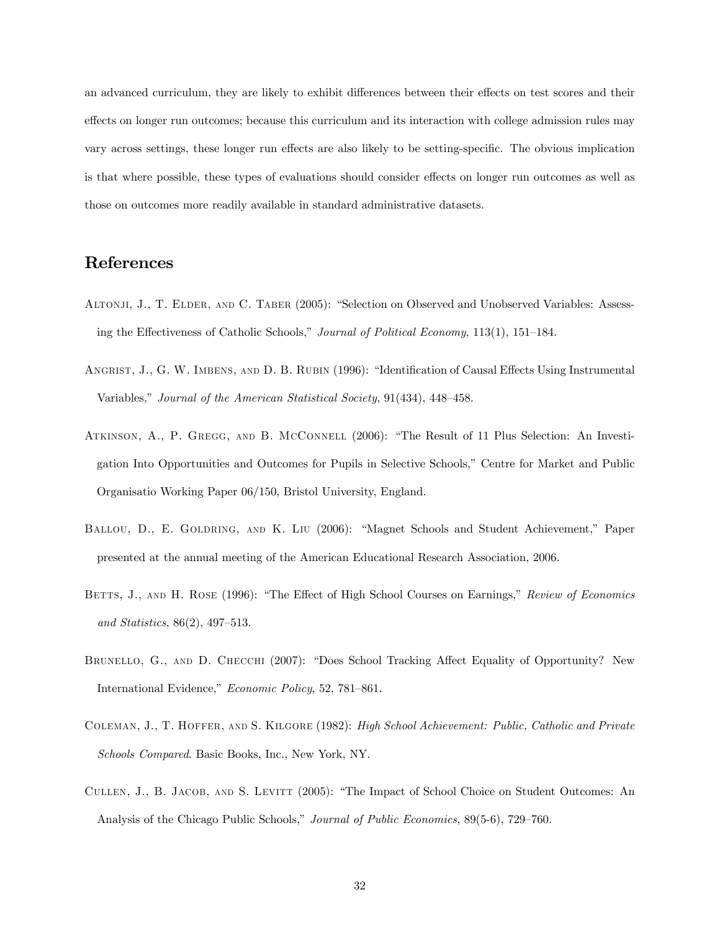an advanced curriculum, they are likely to exhibit differences between their effects on test scores and their effects on longer run outcomes; because this curriculum and its interaction with college admission rules may vary across settings, these longer run effects are also likely to be setting-specific. The obvious implication is that where possible, these types of evaluations should consider effects on longer run outcomes as well as those on outcomes more readily available in standard administrative datasets.

#### References

- ALTONJI, J., T. ELDER, AND C. TABER (2005): "Selection on Observed and Unobserved Variables: Assessing the Effectiveness of Catholic Schools," Journal of Political Economy, 113(1), 151—184.
- Angrist, J., G. W. Imbens, and D. B. Rubin (1996): "Identification of Causal Effects Using Instrumental Variables," Journal of the American Statistical Society, 91(434), 448—458.
- ATKINSON, A., P. GREGG, AND B. MCCONNELL (2006): "The Result of 11 Plus Selection: An Investigation Into Opportunities and Outcomes for Pupils in Selective Schools," Centre for Market and Public Organisatio Working Paper 06/150, Bristol University, England.
- BALLOU, D., E. GOLDRING, AND K. LIU (2006): "Magnet Schools and Student Achievement," Paper presented at the annual meeting of the American Educational Research Association, 2006.
- BETTS, J., AND H. ROSE (1996): "The Effect of High School Courses on Earnings," Review of Economics and Statistics, 86(2), 497—513.
- BRUNELLO, G., AND D. CHECCHI (2007): "Does School Tracking Affect Equality of Opportunity? New International Evidence," Economic Policy, 52, 781—861.
- Coleman, J., T. Hoffer, and S. Kilgore (1982): High School Achievement: Public, Catholic and Private Schools Compared. Basic Books, Inc., New York, NY.
- Cullen, J., B. Jacob, and S. Levitt (2005): "The Impact of School Choice on Student Outcomes: An Analysis of the Chicago Public Schools," Journal of Public Economics, 89(5-6), 729—760.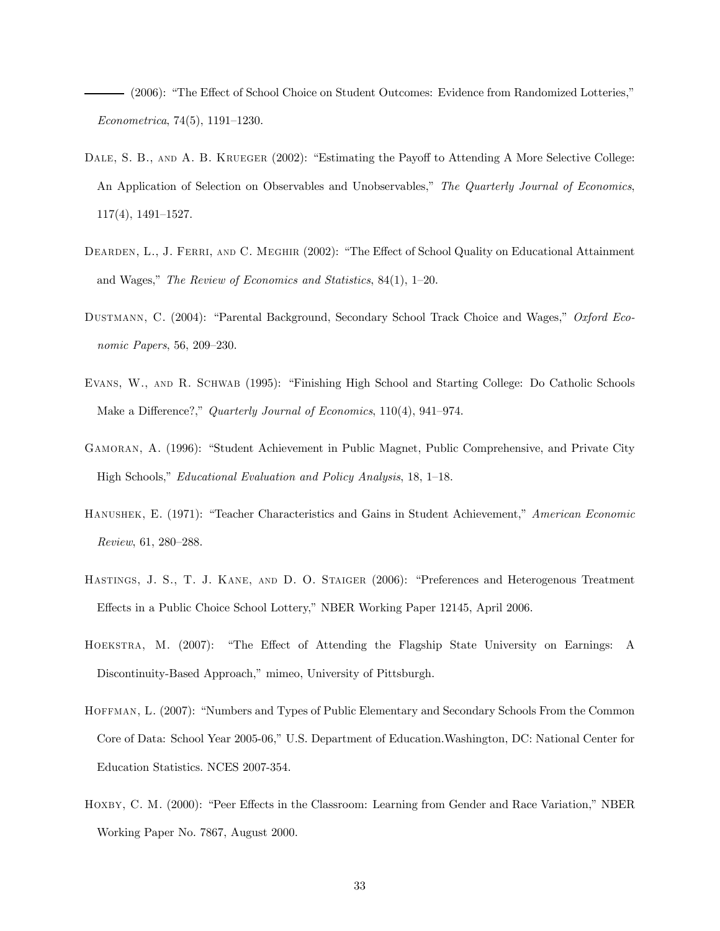(2006): "The Effect of School Choice on Student Outcomes: Evidence from Randomized Lotteries," Econometrica, 74(5), 1191—1230.

- DALE, S. B., AND A. B. KRUEGER (2002): "Estimating the Payoff to Attending A More Selective College: An Application of Selection on Observables and Unobservables," The Quarterly Journal of Economics, 117(4), 1491—1527.
- DEARDEN, L., J. FERRI, AND C. MEGHIR (2002): "The Effect of School Quality on Educational Attainment and Wages," The Review of Economics and Statistics, 84(1), 1—20.
- Dustmann, C. (2004): "Parental Background, Secondary School Track Choice and Wages," Oxford Economic Papers, 56, 209—230.
- Evans, W., and R. Schwab (1995): "Finishing High School and Starting College: Do Catholic Schools Make a Difference?," Quarterly Journal of Economics, 110(4), 941–974.
- Gamoran, A. (1996): "Student Achievement in Public Magnet, Public Comprehensive, and Private City High Schools," Educational Evaluation and Policy Analysis, 18, 1—18.
- Hanushek, E. (1971): "Teacher Characteristics and Gains in Student Achievement," American Economic Review, 61, 280—288.
- Hastings, J. S., T. J. Kane, and D. O. Staiger (2006): "Preferences and Heterogenous Treatment Effects in a Public Choice School Lottery," NBER Working Paper 12145, April 2006.
- Hoekstra, M. (2007): "The Effect of Attending the Flagship State University on Earnings: A Discontinuity-Based Approach," mimeo, University of Pittsburgh.
- Hoffman, L. (2007): "Numbers and Types of Public Elementary and Secondary Schools From the Common Core of Data: School Year 2005-06," U.S. Department of Education.Washington, DC: National Center for Education Statistics. NCES 2007-354.
- HOXBY, C. M. (2000): "Peer Effects in the Classroom: Learning from Gender and Race Variation," NBER Working Paper No. 7867, August 2000.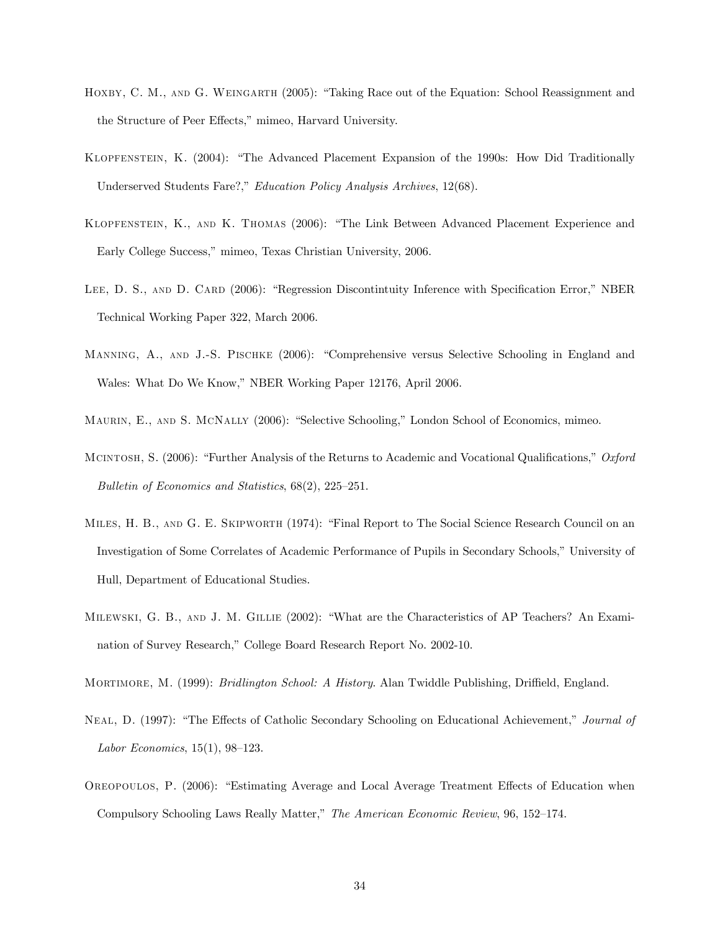- HOXBY, C. M., AND G. WEINGARTH (2005): "Taking Race out of the Equation: School Reassignment and the Structure of Peer Effects," mimeo, Harvard University.
- Klopfenstein, K. (2004): "The Advanced Placement Expansion of the 1990s: How Did Traditionally Underserved Students Fare?," Education Policy Analysis Archives, 12(68).
- Klopfenstein, K., and K. Thomas (2006): "The Link Between Advanced Placement Experience and Early College Success," mimeo, Texas Christian University, 2006.
- LEE, D. S., AND D. CARD (2006): "Regression Discontinuity Inference with Specification Error," NBER Technical Working Paper 322, March 2006.
- Manning, A., and J.-S. Pischke (2006): "Comprehensive versus Selective Schooling in England and Wales: What Do We Know," NBER Working Paper 12176, April 2006.
- Maurin, E., and S. McNally (2006): "Selective Schooling," London School of Economics, mimeo.
- Mcintosh, S. (2006): "Further Analysis of the Returns to Academic and Vocational Qualifications," Oxford Bulletin of Economics and Statistics, 68(2), 225—251.
- Miles, H. B., and G. E. Skipworth (1974): "Final Report to The Social Science Research Council on an Investigation of Some Correlates of Academic Performance of Pupils in Secondary Schools," University of Hull, Department of Educational Studies.
- Milewski, G. B., and J. M. Gillie (2002): "What are the Characteristics of AP Teachers? An Examination of Survey Research," College Board Research Report No. 2002-10.
- Mortimore, M. (1999): Bridlington School: A History. Alan Twiddle Publishing, Driffield, England.
- Neal, D. (1997): "The Effects of Catholic Secondary Schooling on Educational Achievement," Journal of Labor Economics, 15(1), 98—123.
- Oreopoulos, P. (2006): "Estimating Average and Local Average Treatment Effects of Education when Compulsory Schooling Laws Really Matter," The American Economic Review, 96, 152—174.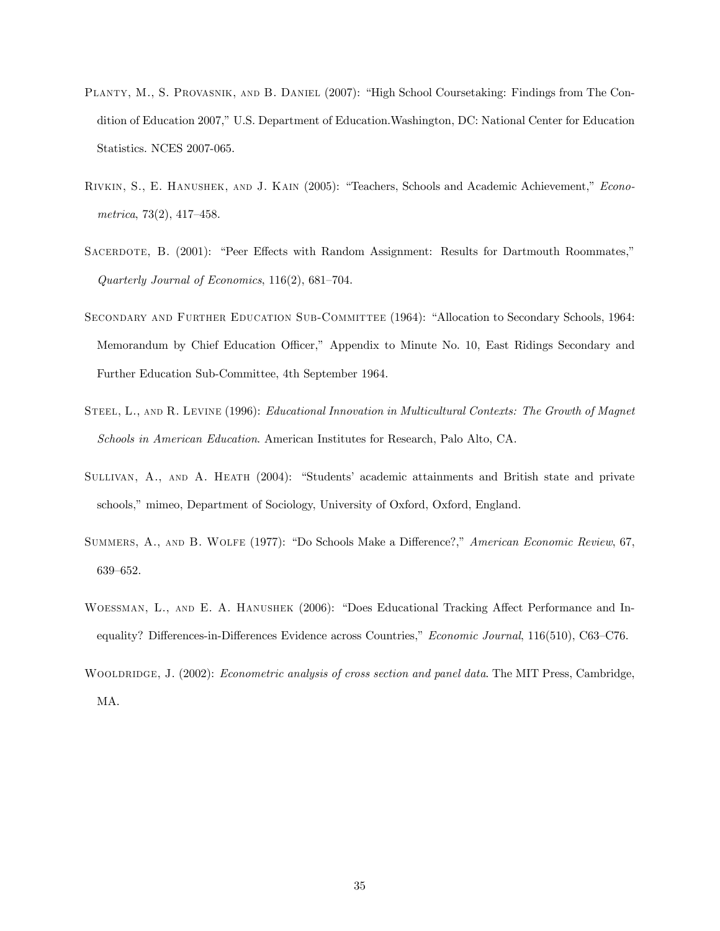- Planty, M., S. Provasnik, and B. Daniel (2007): "High School Coursetaking: Findings from The Condition of Education 2007," U.S. Department of Education.Washington, DC: National Center for Education Statistics. NCES 2007-065.
- Rivkin, S., E. Hanushek, and J. Kain (2005): "Teachers, Schools and Academic Achievement," Econometrica, 73(2), 417—458.
- SACERDOTE, B. (2001): "Peer Effects with Random Assignment: Results for Dartmouth Roommates," Quarterly Journal of Economics, 116(2), 681—704.
- Secondary and Further Education Sub-Committee (1964): "Allocation to Secondary Schools, 1964: Memorandum by Chief Education Officer," Appendix to Minute No. 10, East Ridings Secondary and Further Education Sub-Committee, 4th September 1964.
- STEEL, L., AND R. LEVINE (1996): *Educational Innovation in Multicultural Contexts: The Growth of Magnet* Schools in American Education. American Institutes for Research, Palo Alto, CA.
- SULLIVAN, A., AND A. HEATH (2004): "Students' academic attainments and British state and private schools," mimeo, Department of Sociology, University of Oxford, Oxford, England.
- Summers, A., and B. Wolfe (1977): "Do Schools Make a Difference?," American Economic Review, 67, 639—652.
- Woessman, L., and E. A. Hanushek (2006): "Does Educational Tracking Affect Performance and Inequality? Differences-in-Differences Evidence across Countries," Economic Journal, 116(510), C63–C76.
- WOOLDRIDGE, J. (2002): Econometric analysis of cross section and panel data. The MIT Press, Cambridge, MA.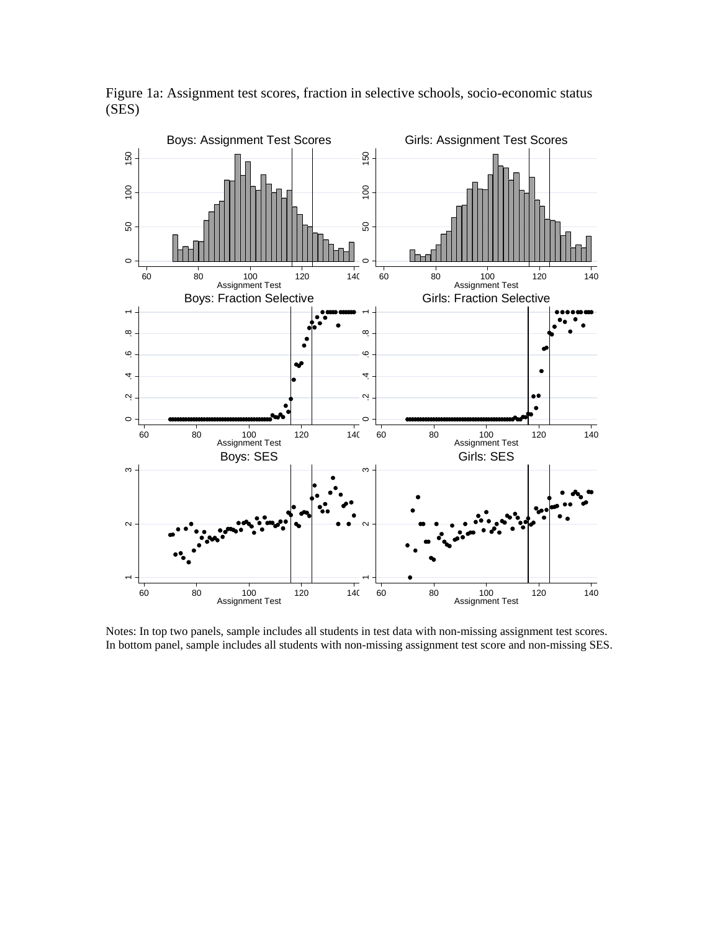

Figure 1a: Assignment test scores, fraction in selective schools, socio-economic status (SES)

Notes: In top two panels, sample includes all students in test data with non-missing assignment test scores. In bottom panel, sample includes all students with non-missing assignment test score and non-missing SES.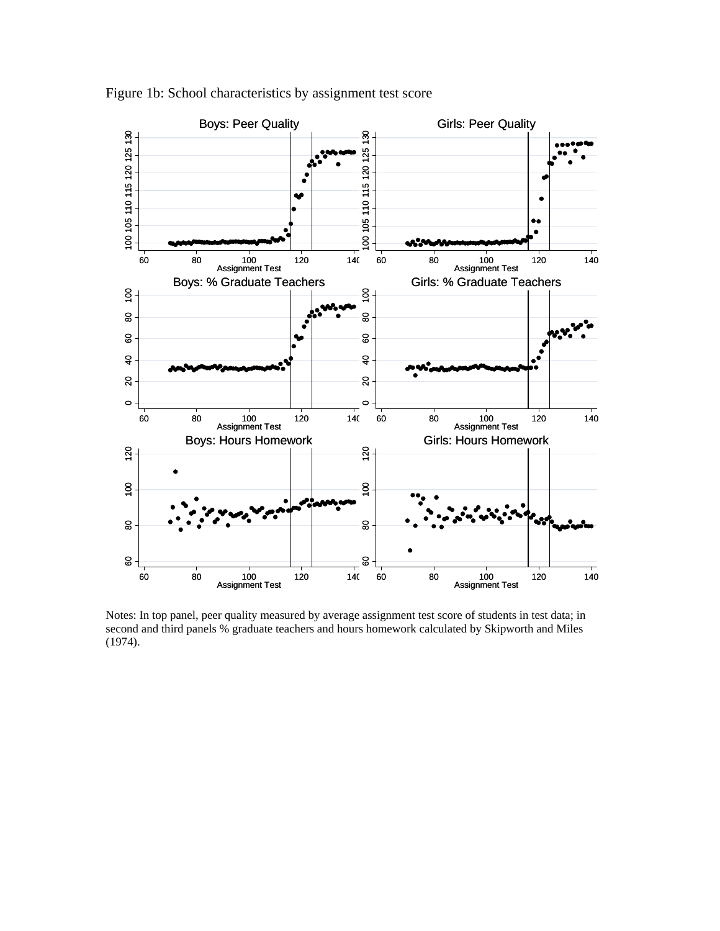

Figure 1b: School characteristics by assignment test score

Notes: In top panel, peer quality measured by average assignment test score of students in test data; in second and third panels % graduate teachers and hours homework calculated by Skipworth and Miles (1974).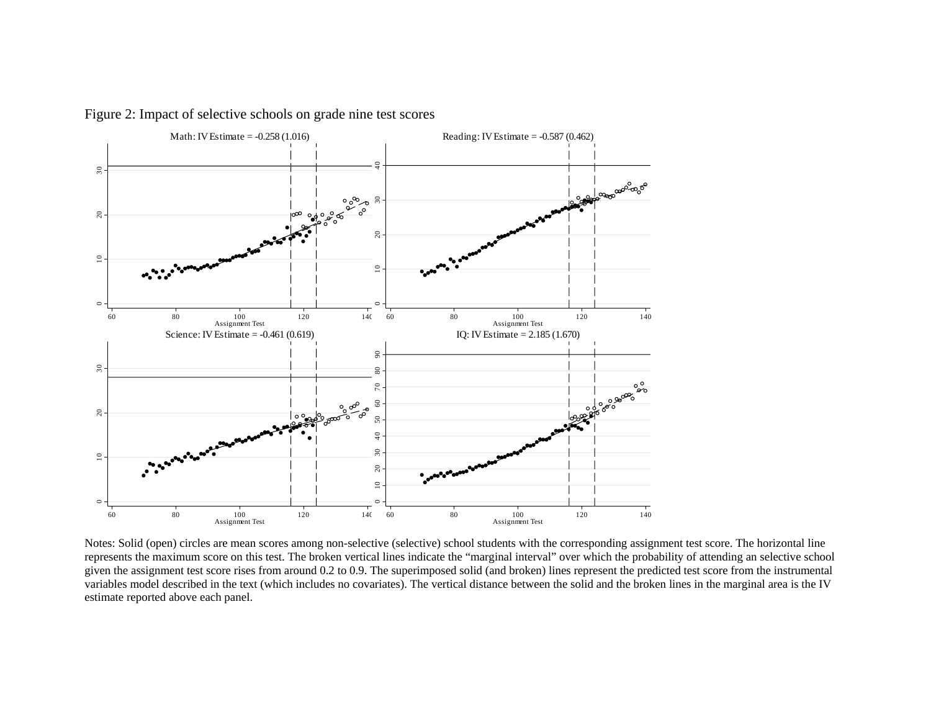

Figure 2: Impact of selective schools on grade nine test scores

Notes: Solid (open) circles are mean scores among non-selective (selective) school students with the corresponding assignment test score. The horizontal line represents the maximum score on this test. The broken vertical lines indicate the "marginal interval" over which the probability of attending an selective school given the assignment test score rises from around 0.2 to 0.9. The superimposed solid (and broken) lines represent the predicted test score from the instrumental variables model described in the text (which includes no covariates). The vertical distance between the solid and the broken lines in the marginal area is the IV estimate reported above each panel.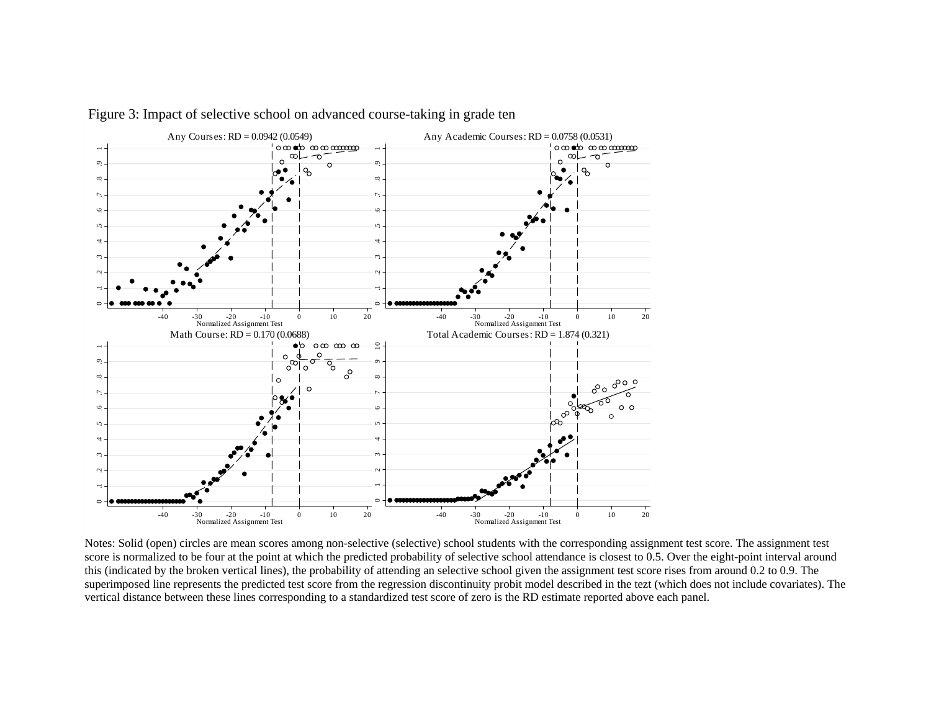

Figure 3: Impact of selective school on advanced course-taking in grade ten

Notes: Solid (open) circles are mean scores among non-selective (selective) school students with the corresponding assignment test score. The assignment test score is normalized to be four at the point at which the predicted probability of selective school attendance is closest to 0.5. Over the eight-point interval around this (indicated by the broken vertical lines), the probability of attending an selective school given the assignment test score rises from around 0.2 to 0.9. The superimposed line represents the predicted test score from the regression discontinuity probit model described in the tezt (which does not include covariates). The vertical distance between these lines corresponding to a standardized test score of zero is the RD estimate reported above each panel.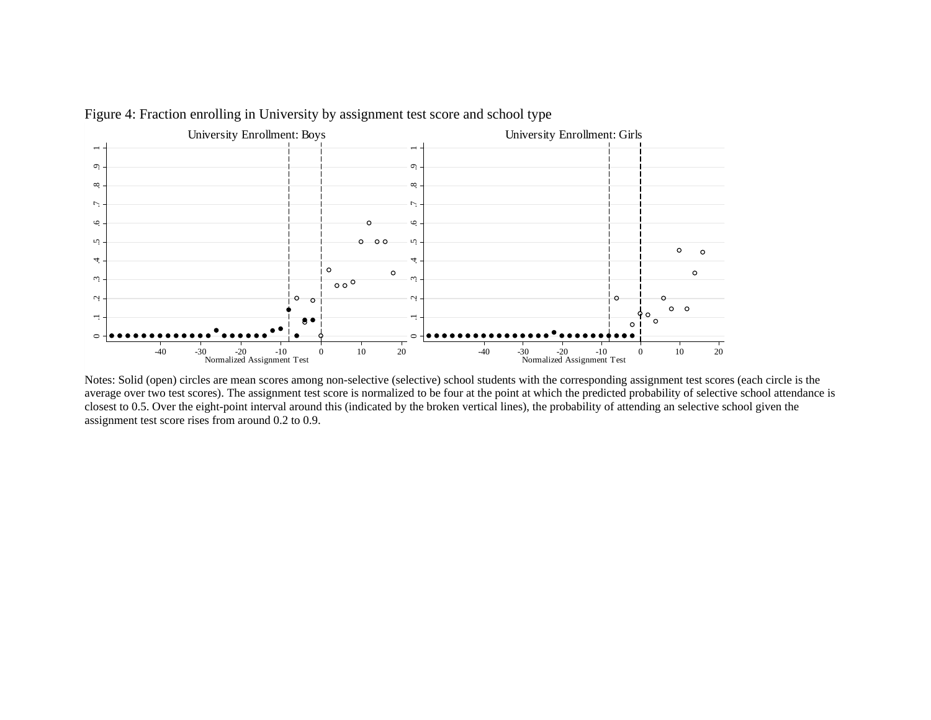

Figure 4: Fraction enrolling in University by assignment test score and school type

Notes: Solid (open) circles are mean scores among non-selective (selective) school students with the corresponding assignment test scores (each circle is the average over two test scores). The assignment test score is normalized to be four at the point at which the predicted probability of selective school attendance is closest to 0.5. Over the eight-point interval around this (indicated by the broken vertical lines), the probability of attending an selective school given the assignment test score rises from around 0.2 to 0.9.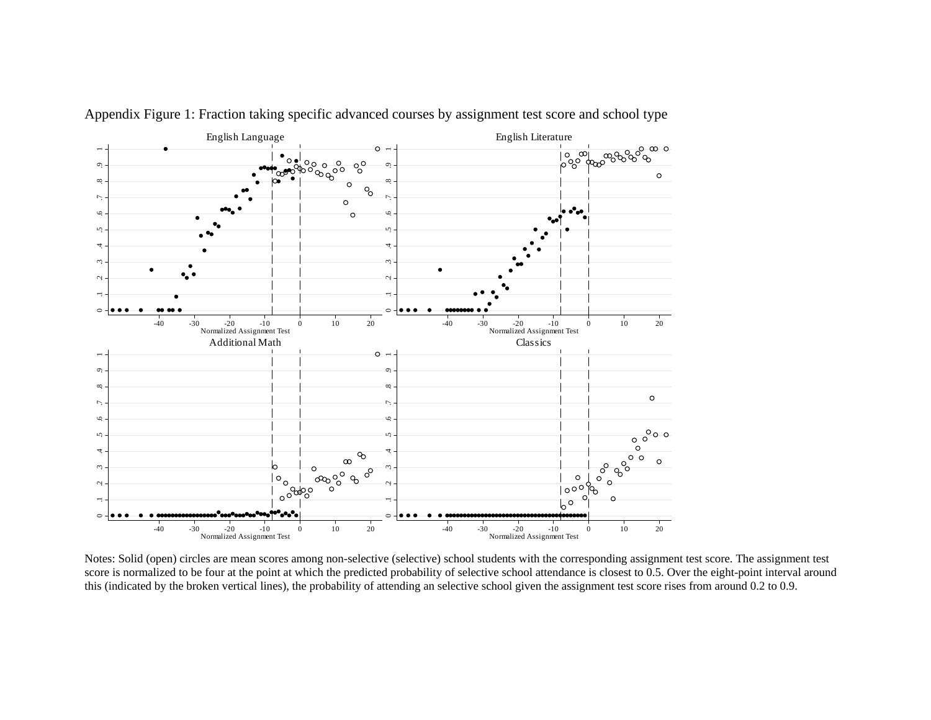

Appendix Figure 1: Fraction taking specific advanced courses by assignment test score and school type

Notes: Solid (open) circles are mean scores among non-selective (selective) school students with the corresponding assignment test score. The assignment test score is normalized to be four at the point at which the predicted probability of selective school attendance is closest to 0.5. Over the eight-point interval around this (indicated by the broken vertical lines), the probability of attending an selective school given the assignment test score rises from around 0.2 to 0.9.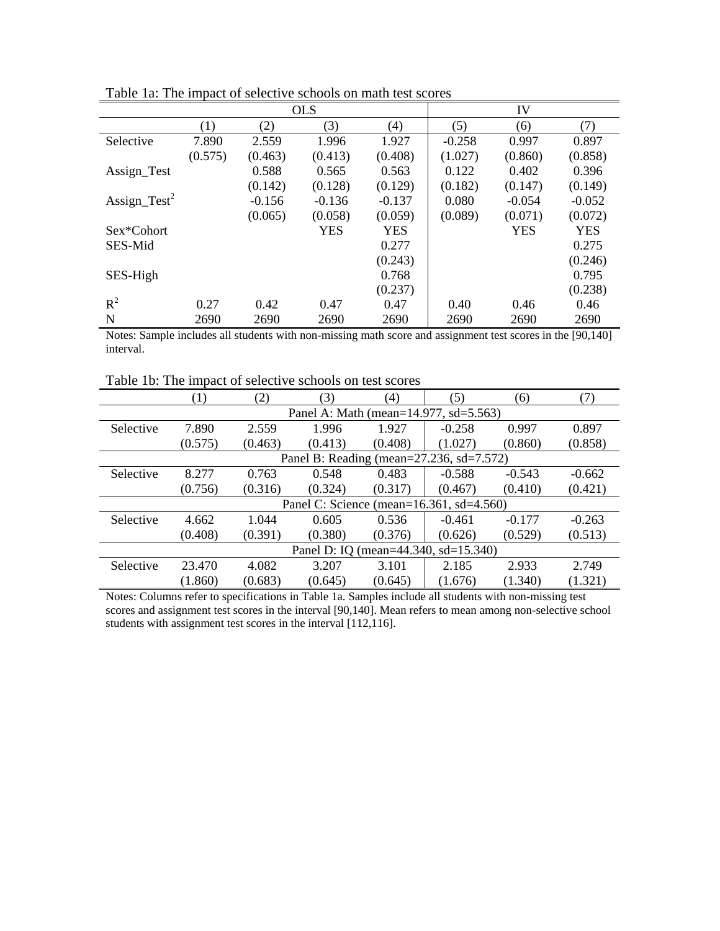|                         |         |          | <b>OLS</b> |                  |          | IV         |            |
|-------------------------|---------|----------|------------|------------------|----------|------------|------------|
|                         | (1)     | (2)      | (3)        | $\left(4\right)$ | (5)      | (6)        | (7)        |
| Selective               | 7.890   | 2.559    | 1.996      | 1.927            | $-0.258$ | 0.997      | 0.897      |
|                         | (0.575) | (0.463)  | (0.413)    | (0.408)          | (1.027)  | (0.860)    | (0.858)    |
| Assign_Test             |         | 0.588    | 0.565      | 0.563            | 0.122    | 0.402      | 0.396      |
|                         |         | (0.142)  | (0.128)    | (0.129)          | (0.182)  | (0.147)    | (0.149)    |
| $\text{Assign\_Test}^2$ |         | $-0.156$ | $-0.136$   | $-0.137$         | 0.080    | $-0.054$   | $-0.052$   |
|                         |         | (0.065)  | (0.058)    | (0.059)          | (0.089)  | (0.071)    | (0.072)    |
| Sex*Cohort              |         |          | <b>YES</b> | <b>YES</b>       |          | <b>YES</b> | <b>YES</b> |
| SES-Mid                 |         |          |            | 0.277            |          |            | 0.275      |
|                         |         |          |            | (0.243)          |          |            | (0.246)    |
| SES-High                |         |          |            | 0.768            |          |            | 0.795      |
|                         |         |          |            | (0.237)          |          |            | (0.238)    |
| $R^2$                   | 0.27    | 0.42     | 0.47       | 0.47             | 0.40     | 0.46       | 0.46       |
| N                       | 2690    | 2690     | 2690       | 2690             | 2690     | 2690       | 2690       |

Table 1a: The impact of selective schools on math test scores

Notes: Sample includes all students with non-missing math score and assignment test scores in the [90,140] interval.

Table 1b: The impact of selective schools on test scores

|           | $\left(1\right)$ | (2)     | (3)         | (4)     | (5)                                              | (6)      | (7)      |
|-----------|------------------|---------|-------------|---------|--------------------------------------------------|----------|----------|
|           |                  |         |             |         | Panel A: Math (mean=14.977, sd=5.563)            |          |          |
| Selective | 7.890            | 2.559   | 1.996       | 1.927   | $-0.258$                                         | 0.997    | 0.897    |
|           | (0.575)          | (0.463) | (0.413)     | (0.408) | (1.027)<br>(0.860)                               |          | (0.858)  |
|           |                  |         |             |         | Panel B: Reading (mean=27.236, sd=7.572)         |          |          |
| Selective | 8.277            | 0.763   | 0.548       | 0.483   | $-0.588$                                         | $-0.543$ | $-0.662$ |
|           | (0.756)          | (0.316) | (0.324)     | (0.317) | (0.467)                                          | (0.410)  | (0.421)  |
|           |                  |         |             |         | Panel C: Science (mean= $16.361$ , sd= $4.560$ ) |          |          |
| Selective | 4.662            | 1.044   | 0.605       | 0.536   | $-0.461$                                         | $-0.177$ | $-0.263$ |
|           | (0.408)          | (0.391) | (0.380)     | (0.376) | (0.626)                                          | (0.529)  | (0.513)  |
|           |                  |         | Panel D: IO |         | $(mean=44.340, sd=15.340)$                       |          |          |
| Selective | 23.470           | 4.082   | 3.207       | 3.101   | 2.185                                            | 2.933    | 2.749    |
|           | (1.860)          | (0.683) | (0.645)     | (0.645) | (1.676)                                          | (1.340)  | (1.321)  |

Notes: Columns refer to specifications in Table 1a. Samples include all students with non-missing test scores and assignment test scores in the interval [90,140]. Mean refers to mean among non-selective school students with assignment test scores in the interval [112,116].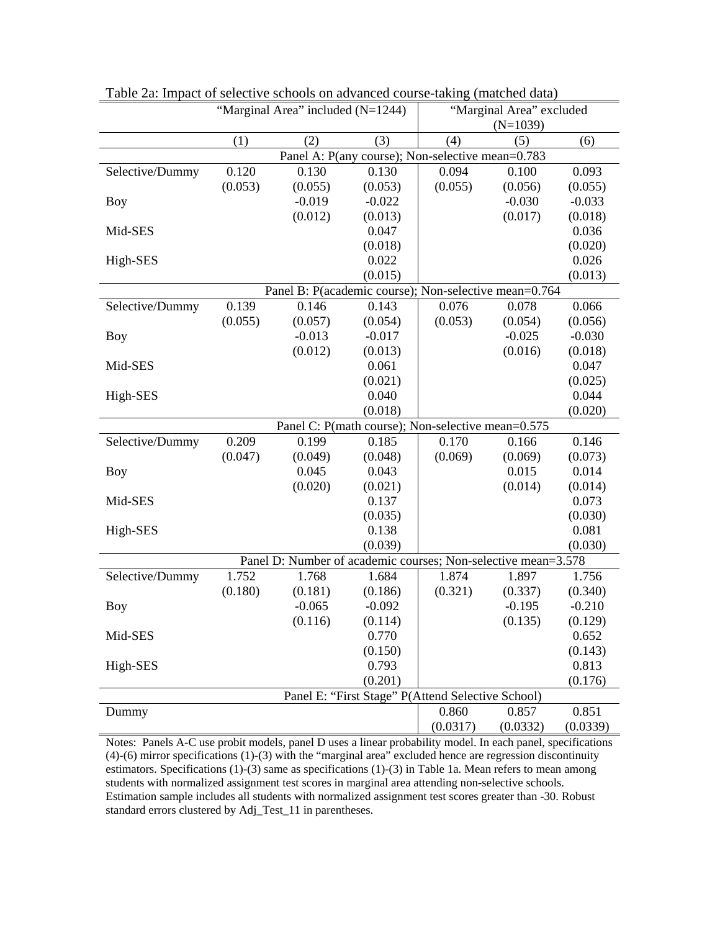|                 |         | "Marginal Area" included (N=1244)                                |                                                   | "Marginal Area" excluded |            |          |  |  |  |  |
|-----------------|---------|------------------------------------------------------------------|---------------------------------------------------|--------------------------|------------|----------|--|--|--|--|
|                 |         |                                                                  |                                                   |                          | $(N=1039)$ |          |  |  |  |  |
|                 | (1)     | (2)                                                              | (3)                                               | (4)                      | (5)        | (6)      |  |  |  |  |
|                 |         |                                                                  | Panel A: P(any course); Non-selective mean=0.783  |                          |            |          |  |  |  |  |
| Selective/Dummy | 0.120   | 0.130                                                            | 0.130                                             | 0.094                    | 0.100      | 0.093    |  |  |  |  |
|                 | (0.053) | (0.055)                                                          | (0.053)                                           | (0.055)                  | (0.056)    | (0.055)  |  |  |  |  |
| <b>Boy</b>      |         | $-0.019$                                                         | $-0.022$                                          |                          | $-0.030$   | $-0.033$ |  |  |  |  |
|                 |         | (0.012)                                                          | (0.013)                                           |                          | (0.017)    | (0.018)  |  |  |  |  |
| Mid-SES         |         |                                                                  | 0.047                                             |                          |            | 0.036    |  |  |  |  |
|                 |         |                                                                  | (0.018)                                           |                          |            | (0.020)  |  |  |  |  |
| High-SES        |         |                                                                  | 0.022                                             |                          |            | 0.026    |  |  |  |  |
|                 |         |                                                                  |                                                   | (0.013)                  |            |          |  |  |  |  |
|                 |         | (0.015)<br>Panel B: P(academic course); Non-selective mean=0.764 |                                                   |                          |            |          |  |  |  |  |
| Selective/Dummy | 0.139   | 0.146                                                            | 0.143                                             | 0.076                    | 0.078      | 0.066    |  |  |  |  |
|                 | (0.055) | (0.057)                                                          | (0.054)                                           | (0.053)                  | (0.054)    | (0.056)  |  |  |  |  |
| <b>Boy</b>      |         | $-0.013$                                                         | $-0.017$                                          |                          | $-0.025$   | $-0.030$ |  |  |  |  |
|                 |         | (0.012)                                                          | (0.013)                                           |                          | (0.016)    | (0.018)  |  |  |  |  |
| Mid-SES         |         |                                                                  | 0.061                                             |                          |            | 0.047    |  |  |  |  |
|                 |         |                                                                  | (0.021)                                           |                          |            | (0.025)  |  |  |  |  |
| High-SES        |         |                                                                  | 0.040                                             |                          |            | 0.044    |  |  |  |  |
|                 |         |                                                                  | (0.018)                                           |                          |            | (0.020)  |  |  |  |  |
|                 |         | Panel C: P(math course); Non-selective mean=0.575                |                                                   |                          |            |          |  |  |  |  |
| Selective/Dummy | 0.209   | 0.199                                                            | 0.185                                             | 0.170                    | 0.166      | 0.146    |  |  |  |  |
|                 | (0.047) | (0.049)                                                          | (0.048)                                           | (0.069)                  | (0.069)    | (0.073)  |  |  |  |  |
| Boy             |         | 0.045                                                            | 0.043                                             |                          | 0.015      | 0.014    |  |  |  |  |
|                 |         | (0.020)                                                          | (0.021)                                           |                          | (0.014)    | (0.014)  |  |  |  |  |
| Mid-SES         |         |                                                                  | 0.137                                             |                          |            | 0.073    |  |  |  |  |
|                 |         |                                                                  | (0.035)                                           |                          |            | (0.030)  |  |  |  |  |
| High-SES        |         |                                                                  | 0.138                                             |                          |            | 0.081    |  |  |  |  |
|                 |         |                                                                  | (0.039)                                           |                          |            | (0.030)  |  |  |  |  |
|                 |         | Panel D: Number of academic courses; Non-selective mean=3.578    |                                                   |                          |            |          |  |  |  |  |
| Selective/Dummy | 1.752   | 1.768                                                            | 1.684                                             | 1.874                    | 1.897      | 1.756    |  |  |  |  |
|                 | (0.180) | (0.181)                                                          | (0.186)                                           | (0.321)                  | (0.337)    | (0.340)  |  |  |  |  |
| <b>Boy</b>      |         | $-0.065$                                                         | $-0.092$                                          |                          | $-0.195$   | $-0.210$ |  |  |  |  |
|                 |         | (0.116)                                                          | (0.114)                                           |                          | (0.135)    | (0.129)  |  |  |  |  |
| Mid-SES         |         |                                                                  | 0.770                                             |                          |            | 0.652    |  |  |  |  |
|                 |         |                                                                  | (0.150)                                           |                          |            | (0.143)  |  |  |  |  |
| High-SES        |         |                                                                  | 0.793                                             |                          |            | 0.813    |  |  |  |  |
|                 |         |                                                                  | (0.201)                                           |                          |            | (0.176)  |  |  |  |  |
|                 |         |                                                                  | Panel E: "First Stage" P(Attend Selective School) |                          |            |          |  |  |  |  |
| Dummy           |         |                                                                  |                                                   | 0.860                    | 0.857      | 0.851    |  |  |  |  |
|                 |         |                                                                  |                                                   | (0.0317)                 | (0.0332)   | (0.0339) |  |  |  |  |

Table 2a: Impact of selective schools on advanced course-taking (matched data)

Notes: Panels A-C use probit models, panel D uses a linear probability model. In each panel, specifications (4)-(6) mirror specifications (1)-(3) with the "marginal area" excluded hence are regression discontinuity estimators. Specifications (1)-(3) same as specifications (1)-(3) in Table 1a. Mean refers to mean among students with normalized assignment test scores in marginal area attending non-selective schools. Estimation sample includes all students with normalized assignment test scores greater than -30. Robust standard errors clustered by Adj\_Test\_11 in parentheses.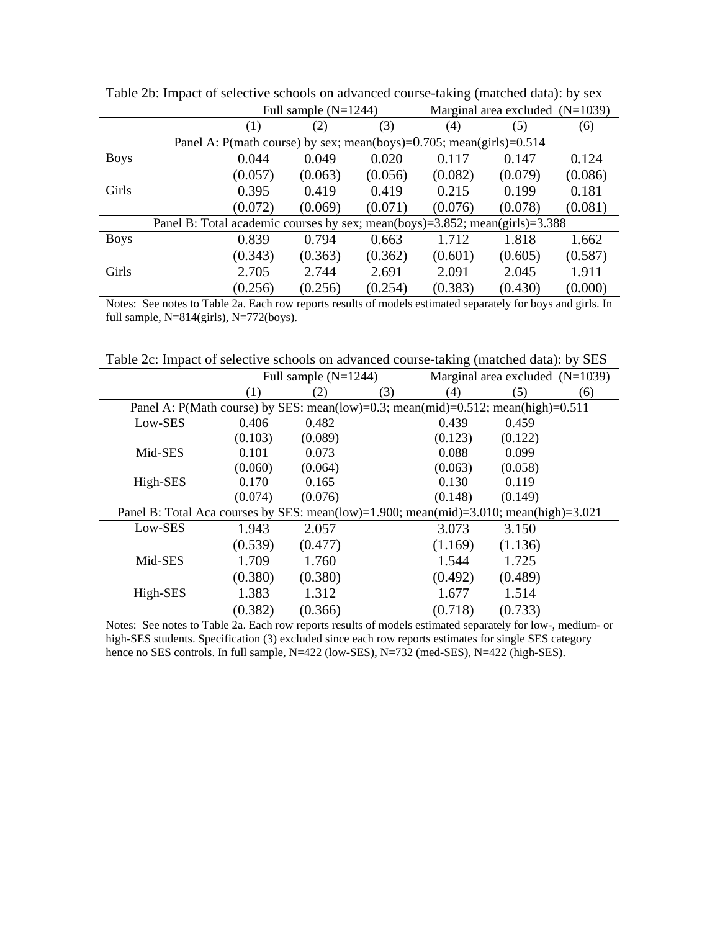|             |                                                                             | Full sample $(N=1244)$                                              |         |         | Marginal area excluded $(N=1039)$ |         |  |  |
|-------------|-----------------------------------------------------------------------------|---------------------------------------------------------------------|---------|---------|-----------------------------------|---------|--|--|
|             | (1)                                                                         | (2)                                                                 | (3)     | (4)     | (5)                               | (6)     |  |  |
|             |                                                                             | Panel A: P(math course) by sex; mean(boys)=0.705; mean(girls)=0.514 |         |         |                                   |         |  |  |
| <b>Boys</b> | 0.044                                                                       | 0.049                                                               | 0.020   | 0.117   | 0.147                             | 0.124   |  |  |
|             | (0.057)                                                                     | (0.063)                                                             | (0.056) | (0.082) | (0.079)                           | (0.086) |  |  |
| Girls       | 0.395                                                                       | 0.419                                                               | 0.419   | 0.215   | 0.199                             | 0.181   |  |  |
|             | (0.072)                                                                     | (0.069)                                                             | (0.071) | (0.076) | (0.078)                           | (0.081) |  |  |
|             | Panel B: Total academic courses by sex; mean(boys)=3.852; mean(girls)=3.388 |                                                                     |         |         |                                   |         |  |  |
| <b>Boys</b> | 0.839                                                                       | 0.794                                                               | 0.663   | 1.712   | 1.818                             | 1.662   |  |  |
|             | (0.343)                                                                     | (0.363)                                                             | (0.362) | (0.601) | (0.605)                           | (0.587) |  |  |
| Girls       | 2.705                                                                       | 2.744                                                               | 2.691   | 2.091   | 2.045                             | 1.911   |  |  |
|             | (0.256)                                                                     | (0.256)                                                             | (0.254) | (0.383) | (0.430)                           | (0.000) |  |  |

Table 2b: Impact of selective schools on advanced course-taking (matched data): by sex

Notes: See notes to Table 2a. Each row reports results of models estimated separately for boys and girls. In full sample, N=814(girls), N=772(boys).

Table 2c: Impact of selective schools on advanced course-taking (matched data): by SES

|                                                                                       |         | Full sample $(N=1244)$ |     |         | Marginal area excluded $(N=1039)$ |     |
|---------------------------------------------------------------------------------------|---------|------------------------|-----|---------|-----------------------------------|-----|
|                                                                                       | (1)     | (2)                    | (3) | (4)     | (5)                               | (6) |
| Panel A: P(Math course) by SES: mean(low)=0.3; mean(mid)=0.512; mean(high)=0.511      |         |                        |     |         |                                   |     |
| Low-SES                                                                               | 0.406   | 0.482                  |     | 0.439   | 0.459                             |     |
|                                                                                       | (0.103) | (0.089)                |     | (0.123) | (0.122)                           |     |
| Mid-SES                                                                               | 0.101   | 0.073                  |     | 0.088   | 0.099                             |     |
|                                                                                       | (0.060) | (0.064)                |     | (0.063) | (0.058)                           |     |
| High-SES                                                                              | 0.170   | 0.165                  |     | 0.130   | 0.119                             |     |
|                                                                                       | (0.074) | (0.076)                |     | (0.148) | (0.149)                           |     |
| Panel B: Total Aca courses by SES: mean(low)=1.900; mean(mid)=3.010; mean(high)=3.021 |         |                        |     |         |                                   |     |
| Low-SES                                                                               | 1.943   | 2.057                  |     | 3.073   | 3.150                             |     |
|                                                                                       | (0.539) | (0.477)                |     | (1.169) | (1.136)                           |     |
| Mid-SES                                                                               | 1.709   | 1.760                  |     | 1.544   | 1.725                             |     |
|                                                                                       | (0.380) | (0.380)                |     | (0.492) | (0.489)                           |     |
| High-SES                                                                              | 1.383   | 1.312                  |     | 1.677   | 1.514                             |     |
|                                                                                       | (0.382) | (0.366)                |     | (0.718) | (0.733)                           |     |

Notes: See notes to Table 2a. Each row reports results of models estimated separately for low-, medium- or high-SES students. Specification (3) excluded since each row reports estimates for single SES category hence no SES controls. In full sample, N=422 (low-SES), N=732 (med-SES), N=422 (high-SES).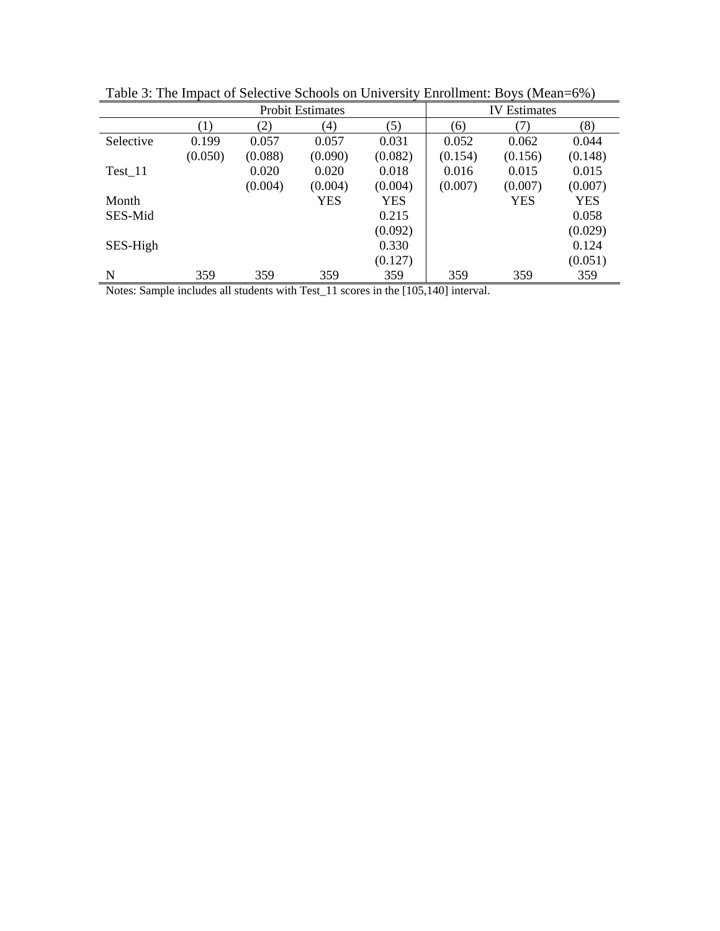|           |         |         | <b>Probit Estimates</b> |            | <b>IV</b> Estimates<br>(8)<br>(6)<br>(7)<br>0.052<br>0.062<br>(0.154)<br>(0.156)<br>0.016<br>0.015<br>(0.007)<br>(0.007)<br><b>YES</b> |     |            |
|-----------|---------|---------|-------------------------|------------|----------------------------------------------------------------------------------------------------------------------------------------|-----|------------|
|           | (1)     | (2)     | (4)                     | (5)        |                                                                                                                                        |     |            |
| Selective | 0.199   | 0.057   | 0.057                   | 0.031      |                                                                                                                                        |     | 0.044      |
|           | (0.050) | (0.088) | (0.090)                 | (0.082)    |                                                                                                                                        |     | (0.148)    |
| Test 11   |         | 0.020   | 0.020                   | 0.018      |                                                                                                                                        |     | 0.015      |
|           |         | (0.004) | (0.004)                 | (0.004)    |                                                                                                                                        |     | (0.007)    |
| Month     |         |         | <b>YES</b>              | <b>YES</b> |                                                                                                                                        |     | <b>YES</b> |
| SES-Mid   |         |         |                         | 0.215      |                                                                                                                                        |     | 0.058      |
|           |         |         |                         | (0.092)    |                                                                                                                                        |     | (0.029)    |
| SES-High  |         |         |                         | 0.330      |                                                                                                                                        |     | 0.124      |
|           |         |         |                         | (0.127)    |                                                                                                                                        |     | (0.051)    |
| N         | 359     | 359     | 359                     | 359        | 359                                                                                                                                    | 359 | 359        |

Table 3: The Impact of Selective Schools on University Enrollment: Boys (Mean=6%)

Notes: Sample includes all students with Test\_11 scores in the [105,140] interval.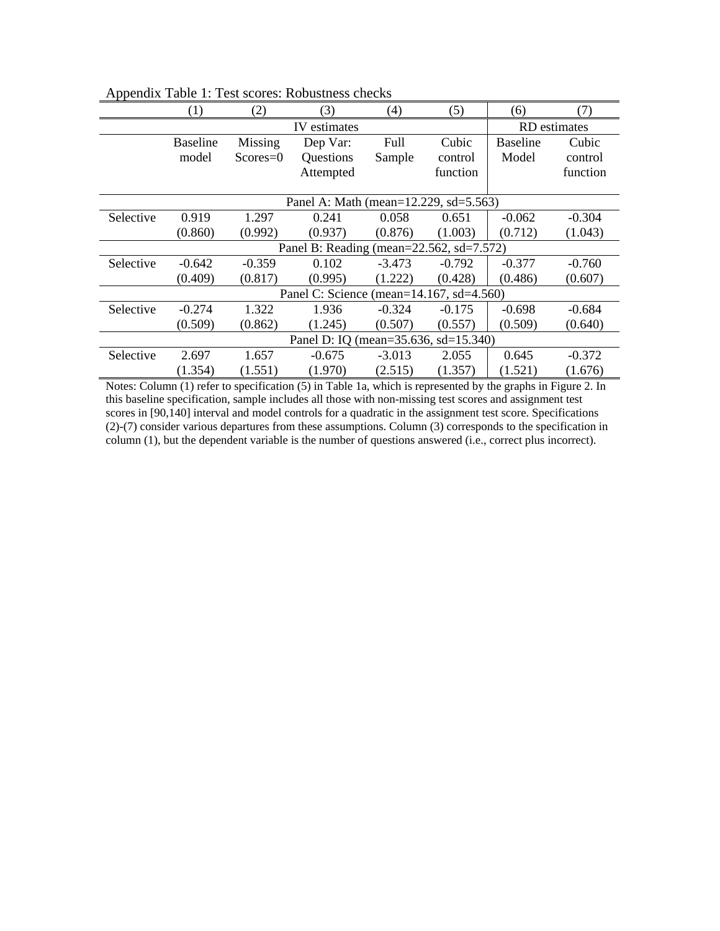|           | (1)             | (2)        | (3)                                      | (4)      | (5)      | (6)             | (7)          |
|-----------|-----------------|------------|------------------------------------------|----------|----------|-----------------|--------------|
|           |                 |            | IV estimates                             |          |          |                 | RD estimates |
|           | <b>Baseline</b> | Missing    | Dep Var:                                 | Full     | Cubic    | <b>Baseline</b> | Cubic        |
|           | model           | $Scores=0$ | Questions                                | Sample   | control  | Model           | control      |
|           |                 |            | Attempted                                |          | function |                 | function     |
|           |                 |            |                                          |          |          |                 |              |
|           |                 |            | Panel A: Math (mean=12.229, sd=5.563)    |          |          |                 |              |
| Selective | 0.919           | 1.297      | 0.241                                    | 0.058    | 0.651    | $-0.062$        | $-0.304$     |
|           | (0.860)         | (0.992)    | (0.937)                                  | (0.876)  | (1.003)  | (0.712)         | (1.043)      |
|           |                 |            | Panel B: Reading (mean=22.562, sd=7.572) |          |          |                 |              |
| Selective | $-0.642$        | $-0.359$   | 0.102                                    | $-3.473$ | $-0.792$ | $-0.377$        | $-0.760$     |
|           | (0.409)         | (0.817)    | (0.995)                                  | (1.222)  | (0.428)  | (0.486)         | (0.607)      |
|           |                 |            | Panel C: Science (mean=14.167, sd=4.560) |          |          |                 |              |
| Selective | $-0.274$        | 1.322      | 1.936                                    | $-0.324$ | $-0.175$ | $-0.698$        | $-0.684$     |
|           | (0.509)         | (0.862)    | (1.245)                                  | (0.507)  | (0.557)  | (0.509)         | (0.640)      |
|           |                 |            | Panel D: IQ (mean=35.636, sd=15.340)     |          |          |                 |              |
| Selective | 2.697           | 1.657      | $-0.675$                                 | $-3.013$ | 2.055    | 0.645           | $-0.372$     |
|           | (1.354)         | (1.551)    | (1.970)                                  | (2.515)  | (1.357)  | (1.521)         | (1.676)      |

Appendix Table 1: Test scores: Robustness checks

Notes: Column (1) refer to specification (5) in Table 1a, which is represented by the graphs in Figure 2. In this baseline specification, sample includes all those with non-missing test scores and assignment test scores in [90,140] interval and model controls for a quadratic in the assignment test score. Specifications (2)-(7) consider various departures from these assumptions. Column (3) corresponds to the specification in column (1), but the dependent variable is the number of questions answered (i.e., correct plus incorrect).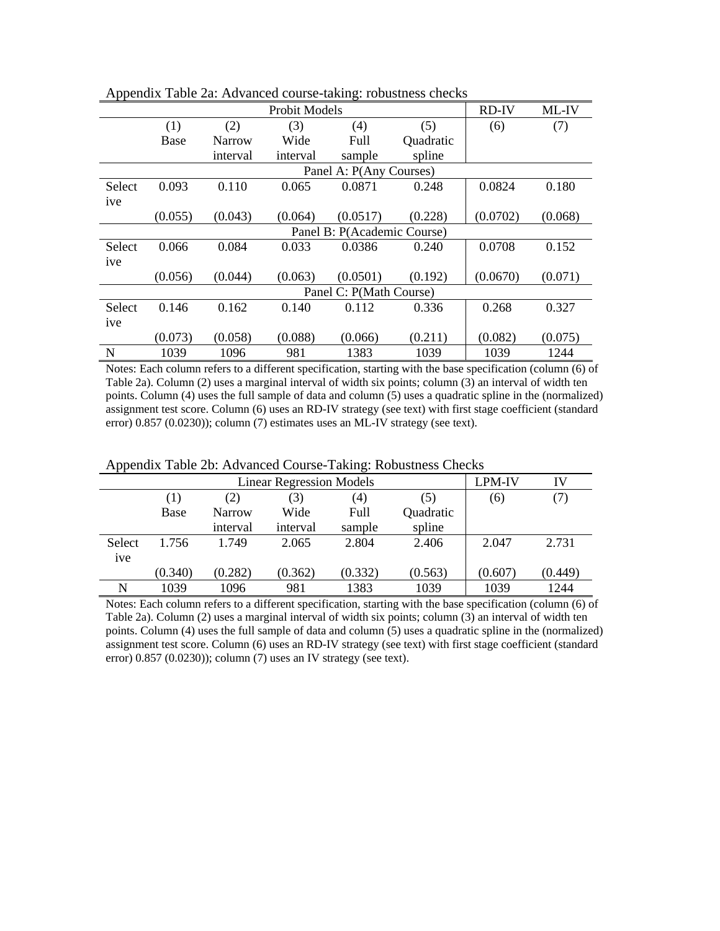|        | who cannot recuently the |               |               |                             |           |              |         |  |  |  |
|--------|--------------------------|---------------|---------------|-----------------------------|-----------|--------------|---------|--|--|--|
|        |                          |               | Probit Models |                             |           | <b>RD-IV</b> | ML-IV   |  |  |  |
|        | (1)                      | (2)           | (3)           | (4)                         | (5)       | (6)          | (7)     |  |  |  |
|        | Base                     | <b>Narrow</b> | Wide          | Full                        | Quadratic |              |         |  |  |  |
|        |                          | interval      | interval      | sample                      | spline    |              |         |  |  |  |
|        |                          |               |               | Panel A: P(Any Courses)     |           |              |         |  |  |  |
| Select | 0.093                    | 0.110         | 0.065         | 0.0871                      | 0.248     | 0.0824       | 0.180   |  |  |  |
| ive    |                          |               |               |                             |           |              |         |  |  |  |
|        | (0.055)                  | (0.043)       | (0.064)       | (0.0517)                    | (0.228)   | (0.0702)     | (0.068) |  |  |  |
|        |                          |               |               | Panel B: P(Academic Course) |           |              |         |  |  |  |
| Select | 0.066                    | 0.084         | 0.033         | 0.0386                      | 0.240     | 0.0708       | 0.152   |  |  |  |
| ive    |                          |               |               |                             |           |              |         |  |  |  |
|        | (0.056)                  | (0.044)       | (0.063)       | (0.0501)                    | (0.192)   | (0.0670)     | (0.071) |  |  |  |
|        |                          |               |               | Panel C: P(Math Course)     |           |              |         |  |  |  |
| Select | 0.146                    | 0.162         | 0.140         | 0.112                       | 0.336     | 0.268        | 0.327   |  |  |  |
| ive    |                          |               |               |                             |           |              |         |  |  |  |
|        | (0.073)                  | (0.058)       | (0.088)       | (0.066)                     | (0.211)   | (0.082)      | (0.075) |  |  |  |
| N      | 1039                     | 1096          | 981           | 1383                        | 1039      | 1039         | 1244    |  |  |  |

Appendix Table 2a: Advanced course-taking: robustness checks

Notes: Each column refers to a different specification, starting with the base specification (column (6) of Table 2a). Column (2) uses a marginal interval of width six points; column (3) an interval of width ten points. Column (4) uses the full sample of data and column  $(5)$  uses a quadratic spline in the (normalized) assignment test score. Column (6) uses an RD-IV strategy (see text) with first stage coefficient (standard error) 0.857 (0.0230)); column (7) estimates uses an ML-IV strategy (see text).

|                |         |          | <b>Linear Regression Models</b> |         |         | LPM-IV  | IV      |
|----------------|---------|----------|---------------------------------|---------|---------|---------|---------|
|                | (1)     | (2)      | (3)                             | (4)     | (5)     | (6)     |         |
|                | Base    | Narrow   | Wide                            |         |         |         |         |
|                |         | interval | interval                        |         |         |         |         |
| Select         | 1.756   | 1.749    | 2.065                           | 2.804   | 2.406   | 2.047   | 2.731   |
| <sub>1ve</sub> |         |          |                                 |         |         |         |         |
|                | (0.340) | (0.282)  | (0.362)                         | (0.332) | (0.563) | (0.607) | (0.449) |
| N              | 1039    | 1096     | 981                             | 1383    | 1039    | 1039    | 1244    |

Appendix Table 2b: Advanced Course-Taking: Robustness Checks

Notes: Each column refers to a different specification, starting with the base specification (column (6) of Table 2a). Column (2) uses a marginal interval of width six points; column (3) an interval of width ten points. Column (4) uses the full sample of data and column (5) uses a quadratic spline in the (normalized) assignment test score. Column (6) uses an RD-IV strategy (see text) with first stage coefficient (standard error) 0.857 (0.0230)); column (7) uses an IV strategy (see text).